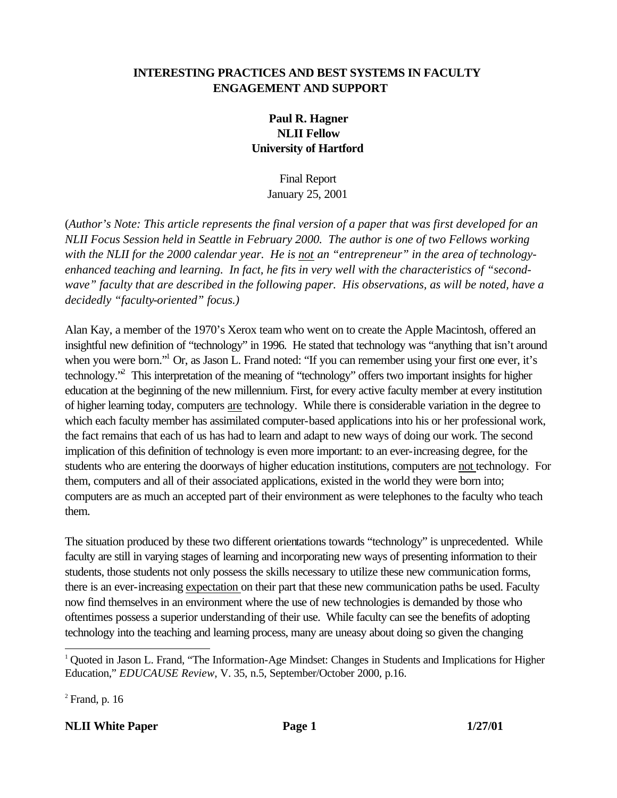# **INTERESTING PRACTICES AND BEST SYSTEMS IN FACULTY ENGAGEMENT AND SUPPORT**

# **Paul R. Hagner NLII Fellow University of Hartford**

Final Report January 25, 2001

(*Author's Note: This article represents the final version of a paper that was first developed for an NLII Focus Session held in Seattle in February 2000. The author is one of two Fellows working with the NLII for the 2000 calendar year. He is not an "entrepreneur" in the area of technologyenhanced teaching and learning. In fact, he fits in very well with the characteristics of "secondwave" faculty that are described in the following paper. His observations, as will be noted, have a decidedly "faculty-oriented" focus.)*

Alan Kay, a member of the 1970's Xerox team who went on to create the Apple Macintosh, offered an insightful new definition of "technology" in 1996. He stated that technology was "anything that isn't around when you were born."<sup>1</sup> Or, as Jason L. Frand noted: "If you can remember using your first one ever, it's technology.<sup>2</sup> This interpretation of the meaning of "technology" offers two important insights for higher education at the beginning of the new millennium. First, for every active faculty member at every institution of higher learning today, computers are technology. While there is considerable variation in the degree to which each faculty member has assimilated computer-based applications into his or her professional work, the fact remains that each of us has had to learn and adapt to new ways of doing our work. The second implication of this definition of technology is even more important: to an ever-increasing degree, for the students who are entering the doorways of higher education institutions, computers are not technology. For them, computers and all of their associated applications, existed in the world they were born into; computers are as much an accepted part of their environment as were telephones to the faculty who teach them.

The situation produced by these two different orientations towards "technology" is unprecedented. While faculty are still in varying stages of learning and incorporating new ways of presenting information to their students, those students not only possess the skills necessary to utilize these new communication forms, there is an ever-increasing expectation on their part that these new communication paths be used. Faculty now find themselves in an environment where the use of new technologies is demanded by those who oftentimes possess a superior understanding of their use. While faculty can see the benefits of adopting technology into the teaching and learning process, many are uneasy about doing so given the changing

 $2$  Frand, p. 16

l

**NLII White Paper Page 1 Page 1 1/27/01** 

<sup>&</sup>lt;sup>1</sup> Quoted in Jason L. Frand, "The Information-Age Mindset: Changes in Students and Implications for Higher Education," *EDUCAUSE Review*, V. 35, n.5, September/October 2000, p.16.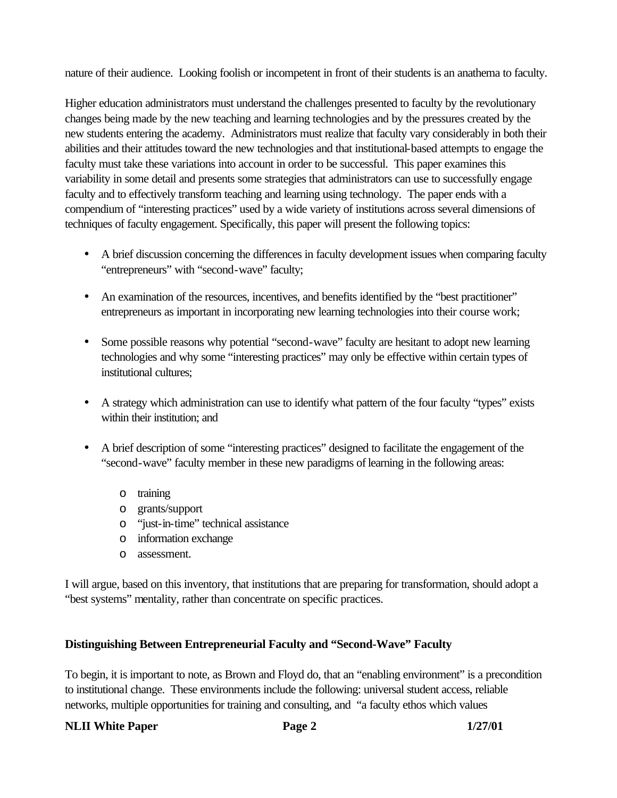nature of their audience. Looking foolish or incompetent in front of their students is an anathema to faculty.

Higher education administrators must understand the challenges presented to faculty by the revolutionary changes being made by the new teaching and learning technologies and by the pressures created by the new students entering the academy. Administrators must realize that faculty vary considerably in both their abilities and their attitudes toward the new technologies and that institutional-based attempts to engage the faculty must take these variations into account in order to be successful. This paper examines this variability in some detail and presents some strategies that administrators can use to successfully engage faculty and to effectively transform teaching and learning using technology. The paper ends with a compendium of "interesting practices" used by a wide variety of institutions across several dimensions of techniques of faculty engagement. Specifically, this paper will present the following topics:

- A brief discussion concerning the differences in faculty development issues when comparing faculty "entrepreneurs" with "second-wave" faculty;
- An examination of the resources, incentives, and benefits identified by the "best practitioner" entrepreneurs as important in incorporating new learning technologies into their course work;
- Some possible reasons why potential "second-wave" faculty are hesitant to adopt new learning technologies and why some "interesting practices" may only be effective within certain types of institutional cultures;
- A strategy which administration can use to identify what pattern of the four faculty "types" exists within their institution; and
- A brief description of some "interesting practices" designed to facilitate the engagement of the "second-wave" faculty member in these new paradigms of learning in the following areas:
	- o training
	- o grants/support
	- o "just-in-time" technical assistance
	- o information exchange
	- o assessment.

I will argue, based on this inventory, that institutions that are preparing for transformation, should adopt a "best systems" mentality, rather than concentrate on specific practices.

# **Distinguishing Between Entrepreneurial Faculty and "Second-Wave" Faculty**

To begin, it is important to note, as Brown and Floyd do, that an "enabling environment" is a precondition to institutional change. These environments include the following: universal student access, reliable networks, multiple opportunities for training and consulting, and "a faculty ethos which values

# **NLII White Paper Page 2 1/27/01**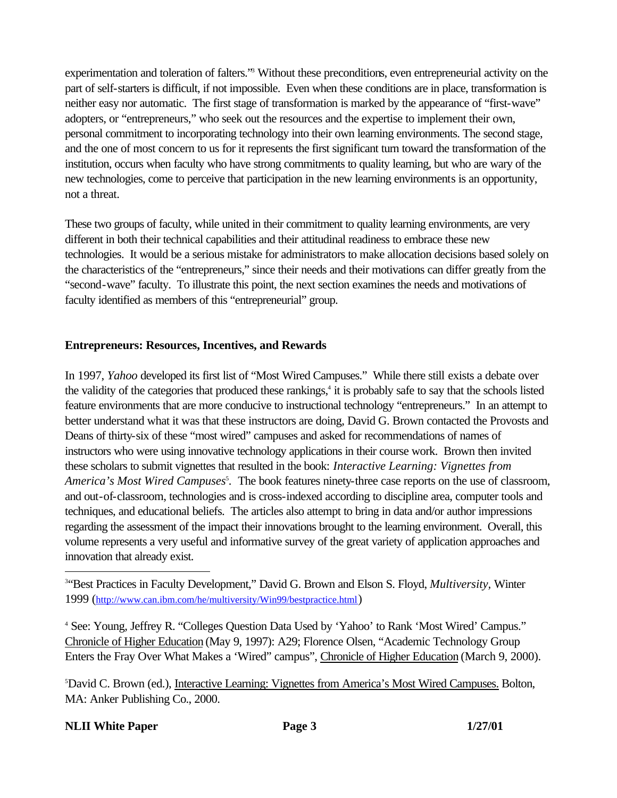experimentation and toleration of falters." Without these preconditions, even entrepreneurial activity on the part of self-starters is difficult, if not impossible. Even when these conditions are in place, transformation is neither easy nor automatic. The first stage of transformation is marked by the appearance of "first-wave" adopters, or "entrepreneurs," who seek out the resources and the expertise to implement their own, personal commitment to incorporating technology into their own learning environments. The second stage, and the one of most concern to us for it represents the first significant turn toward the transformation of the institution, occurs when faculty who have strong commitments to quality learning, but who are wary of the new technologies, come to perceive that participation in the new learning environments is an opportunity, not a threat.

These two groups of faculty, while united in their commitment to quality learning environments, are very different in both their technical capabilities and their attitudinal readiness to embrace these new technologies. It would be a serious mistake for administrators to make allocation decisions based solely on the characteristics of the "entrepreneurs," since their needs and their motivations can differ greatly from the "second-wave" faculty. To illustrate this point, the next section examines the needs and motivations of faculty identified as members of this "entrepreneurial" group.

# **Entrepreneurs: Resources, Incentives, and Rewards**

In 1997, *Yahoo* developed its first list of "Most Wired Campuses." While there still exists a debate over the validity of the categories that produced these rankings,<sup>4</sup> it is probably safe to say that the schools listed feature environments that are more conducive to instructional technology "entrepreneurs." In an attempt to better understand what it was that these instructors are doing, David G. Brown contacted the Provosts and Deans of thirty-six of these "most wired" campuses and asked for recommendations of names of instructors who were using innovative technology applications in their course work. Brown then invited these scholars to submit vignettes that resulted in the book: *Interactive Learning: Vignettes from*  America's Most Wired Campuses<sup>5</sup>. The book features ninety-three case reports on the use of classroom, and out-of-classroom, technologies and is cross-indexed according to discipline area, computer tools and techniques, and educational beliefs. The articles also attempt to bring in data and/or author impressions regarding the assessment of the impact their innovations brought to the learning environment. Overall, this volume represents a very useful and informative survey of the great variety of application approaches and innovation that already exist.

<sup>4</sup> See: Young, Jeffrey R. "Colleges Question Data Used by 'Yahoo' to Rank 'Most Wired' Campus." Chronicle of Higher Education (May 9, 1997): A29; Florence Olsen, "Academic Technology Group Enters the Fray Over What Makes a 'Wired" campus", Chronicle of Higher Education (March 9, 2000).

<sup>5</sup>David C. Brown (ed.), Interactive Learning: Vignettes from America's Most Wired Campuses. Bolton, MA: Anker Publishing Co., 2000.

# **NLII White Paper Page 3 1/27/01**

<sup>3</sup> "Best Practices in Faculty Development," David G. Brown and Elson S. Floyd, *Multiversity,* Winter 1999 (http://www.can.ibm.com/he/multiversity/Win99/bestpractice.html)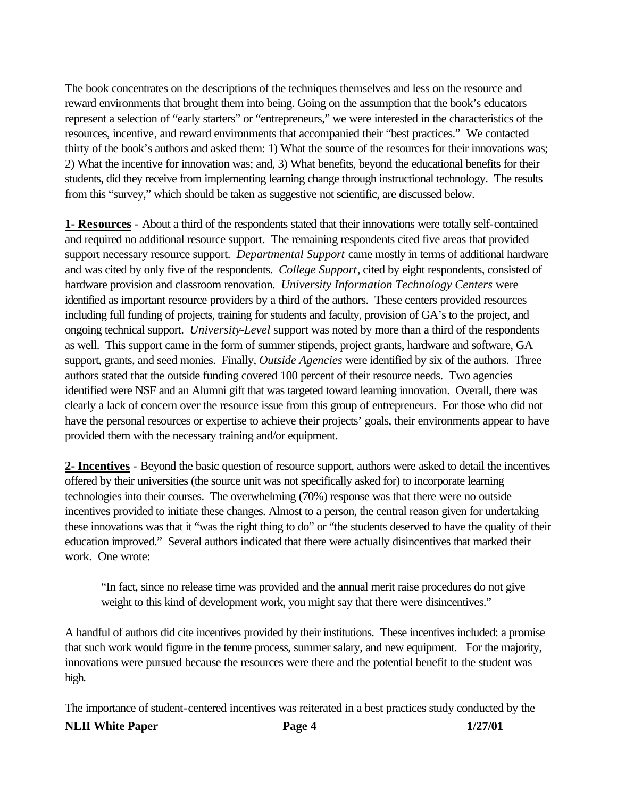The book concentrates on the descriptions of the techniques themselves and less on the resource and reward environments that brought them into being. Going on the assumption that the book's educators represent a selection of "early starters" or "entrepreneurs," we were interested in the characteristics of the resources, incentive, and reward environments that accompanied their "best practices." We contacted thirty of the book's authors and asked them: 1) What the source of the resources for their innovations was; 2) What the incentive for innovation was; and, 3) What benefits, beyond the educational benefits for their students, did they receive from implementing learning change through instructional technology. The results from this "survey," which should be taken as suggestive not scientific, are discussed below.

**1- Resources** - About a third of the respondents stated that their innovations were totally self-contained and required no additional resource support. The remaining respondents cited five areas that provided support necessary resource support. *Departmental Support* came mostly in terms of additional hardware and was cited by only five of the respondents. *College Support*, cited by eight respondents, consisted of hardware provision and classroom renovation. *University Information Technology Centers* were identified as important resource providers by a third of the authors. These centers provided resources including full funding of projects, training for students and faculty, provision of GA's to the project, and ongoing technical support. *University-Level* support was noted by more than a third of the respondents as well. This support came in the form of summer stipends, project grants, hardware and software, GA support, grants, and seed monies. Finally, *Outside Agencies* were identified by six of the authors. Three authors stated that the outside funding covered 100 percent of their resource needs. Two agencies identified were NSF and an Alumni gift that was targeted toward learning innovation. Overall, there was clearly a lack of concern over the resource issue from this group of entrepreneurs. For those who did not have the personal resources or expertise to achieve their projects' goals, their environments appear to have provided them with the necessary training and/or equipment.

**2- Incentives** - Beyond the basic question of resource support, authors were asked to detail the incentives offered by their universities (the source unit was not specifically asked for) to incorporate learning technologies into their courses. The overwhelming (70%) response was that there were no outside incentives provided to initiate these changes. Almost to a person, the central reason given for undertaking these innovations was that it "was the right thing to do" or "the students deserved to have the quality of their education improved." Several authors indicated that there were actually disincentives that marked their work. One wrote:

"In fact, since no release time was provided and the annual merit raise procedures do not give weight to this kind of development work, you might say that there were disincentives."

A handful of authors did cite incentives provided by their institutions. These incentives included: a promise that such work would figure in the tenure process, summer salary, and new equipment. For the majority, innovations were pursued because the resources were there and the potential benefit to the student was high.

The importance of student-centered incentives was reiterated in a best practices study conducted by the

**NLII White Paper Page 4 1/27/01**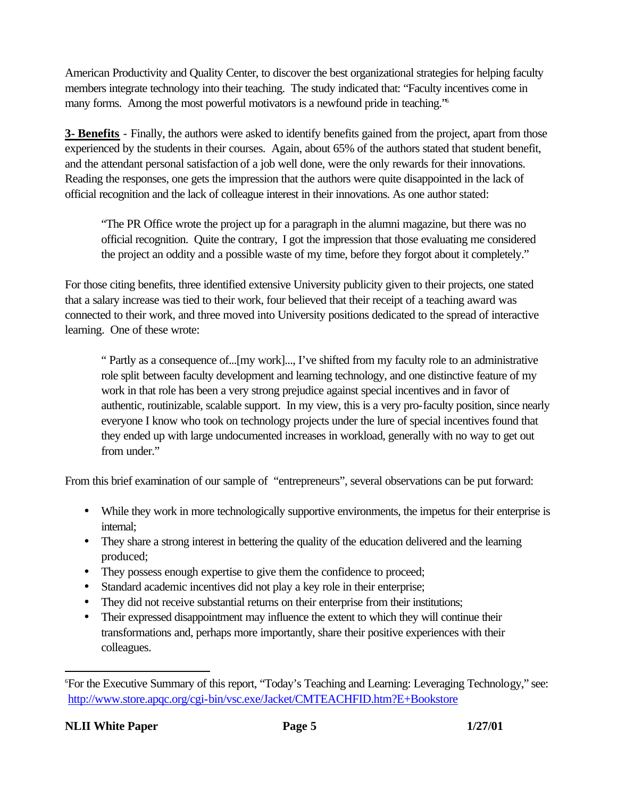American Productivity and Quality Center, to discover the best organizational strategies for helping faculty members integrate technology into their teaching. The study indicated that: "Faculty incentives come in many forms. Among the most powerful motivators is a newfound pride in teaching.<sup>76</sup>

**3- Benefits** - Finally, the authors were asked to identify benefits gained from the project, apart from those experienced by the students in their courses. Again, about 65% of the authors stated that student benefit, and the attendant personal satisfaction of a job well done, were the only rewards for their innovations. Reading the responses, one gets the impression that the authors were quite disappointed in the lack of official recognition and the lack of colleague interest in their innovations. As one author stated:

"The PR Office wrote the project up for a paragraph in the alumni magazine, but there was no official recognition. Quite the contrary, I got the impression that those evaluating me considered the project an oddity and a possible waste of my time, before they forgot about it completely."

For those citing benefits, three identified extensive University publicity given to their projects, one stated that a salary increase was tied to their work, four believed that their receipt of a teaching award was connected to their work, and three moved into University positions dedicated to the spread of interactive learning. One of these wrote:

" Partly as a consequence of...[my work]..., I've shifted from my faculty role to an administrative role split between faculty development and learning technology, and one distinctive feature of my work in that role has been a very strong prejudice against special incentives and in favor of authentic, routinizable, scalable support. In my view, this is a very pro-faculty position, since nearly everyone I know who took on technology projects under the lure of special incentives found that they ended up with large undocumented increases in workload, generally with no way to get out from under."

From this brief examination of our sample of "entrepreneurs", several observations can be put forward:

- While they work in more technologically supportive environments, the impetus for their enterprise is internal;
- They share a strong interest in bettering the quality of the education delivered and the learning produced;
- They possess enough expertise to give them the confidence to proceed;
- Standard academic incentives did not play a key role in their enterprise;
- They did not receive substantial returns on their enterprise from their institutions;
- Their expressed disappointment may influence the extent to which they will continue their transformations and, perhaps more importantly, share their positive experiences with their colleagues.

<sup>6</sup>For the Executive Summary of this report, "Today's Teaching and Learning: Leveraging Technology," see: http://www.store.apqc.org/cgi-bin/vsc.exe/Jacket/CMTEACHFID.htm?E+Bookstore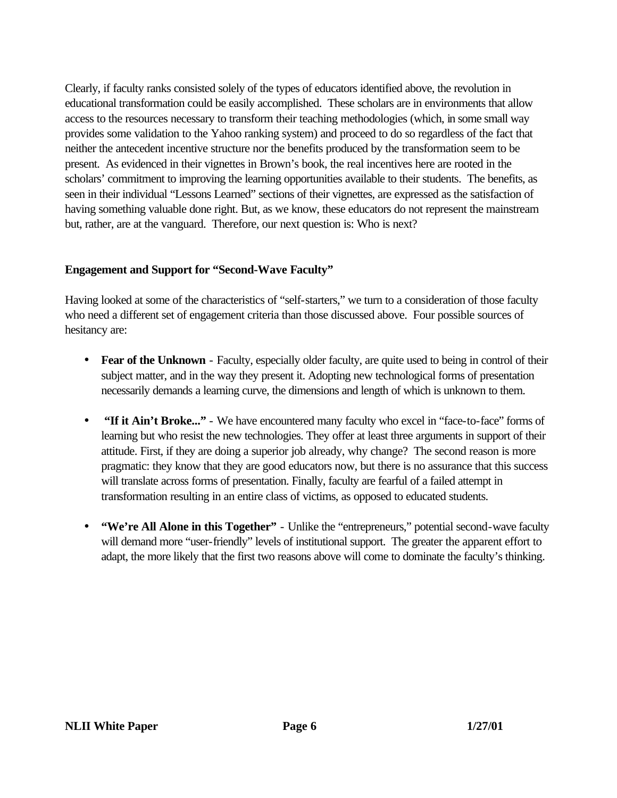Clearly, if faculty ranks consisted solely of the types of educators identified above, the revolution in educational transformation could be easily accomplished. These scholars are in environments that allow access to the resources necessary to transform their teaching methodologies (which, in some small way provides some validation to the Yahoo ranking system) and proceed to do so regardless of the fact that neither the antecedent incentive structure nor the benefits produced by the transformation seem to be present. As evidenced in their vignettes in Brown's book, the real incentives here are rooted in the scholars' commitment to improving the learning opportunities available to their students. The benefits, as seen in their individual "Lessons Learned" sections of their vignettes, are expressed as the satisfaction of having something valuable done right. But, as we know, these educators do not represent the mainstream but, rather, are at the vanguard. Therefore, our next question is: Who is next?

# **Engagement and Support for "Second-Wave Faculty"**

Having looked at some of the characteristics of "self-starters," we turn to a consideration of those faculty who need a different set of engagement criteria than those discussed above. Four possible sources of hesitancy are:

- **Fear of the Unknown** Faculty, especially older faculty, are quite used to being in control of their subject matter, and in the way they present it. Adopting new technological forms of presentation necessarily demands a learning curve, the dimensions and length of which is unknown to them.
- **"If it Ain't Broke..."** We have encountered many faculty who excel in "face-to-face" forms of learning but who resist the new technologies. They offer at least three arguments in support of their attitude. First, if they are doing a superior job already, why change? The second reason is more pragmatic: they know that they are good educators now, but there is no assurance that this success will translate across forms of presentation. Finally, faculty are fearful of a failed attempt in transformation resulting in an entire class of victims, as opposed to educated students.
- **"We're All Alone in this Together"** Unlike the "entrepreneurs," potential second-wave faculty will demand more "user-friendly" levels of institutional support. The greater the apparent effort to adapt, the more likely that the first two reasons above will come to dominate the faculty's thinking.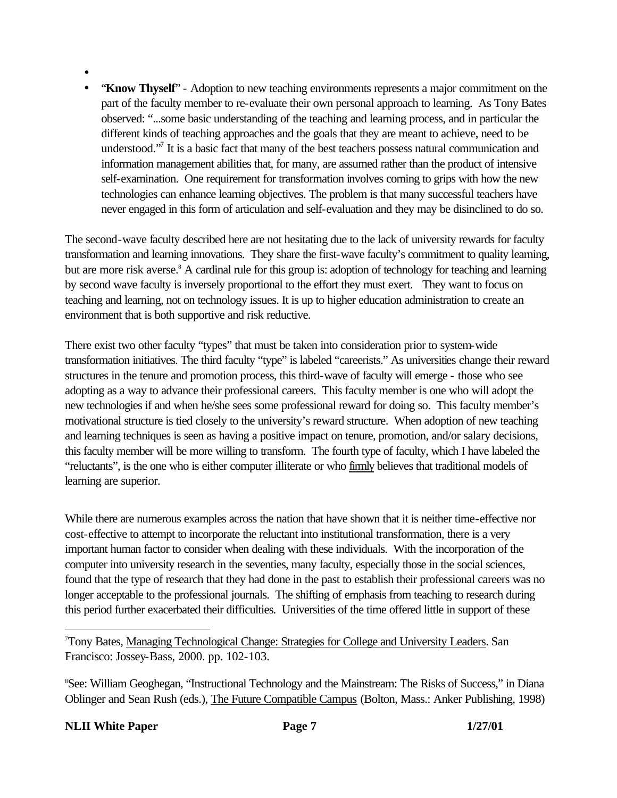- •
- "**Know Thyself**" Adoption to new teaching environments represents a major commitment on the part of the faculty member to re-evaluate their own personal approach to learning. As Tony Bates observed: "...some basic understanding of the teaching and learning process, and in particular the different kinds of teaching approaches and the goals that they are meant to achieve, need to be understood."<sup>7</sup> It is a basic fact that many of the best teachers possess natural communication and information management abilities that, for many, are assumed rather than the product of intensive self-examination. One requirement for transformation involves coming to grips with how the new technologies can enhance learning objectives. The problem is that many successful teachers have never engaged in this form of articulation and self-evaluation and they may be disinclined to do so.

The second-wave faculty described here are not hesitating due to the lack of university rewards for faculty transformation and learning innovations. They share the first-wave faculty's commitment to quality learning, but are more risk averse.<sup>8</sup> A cardinal rule for this group is: adoption of technology for teaching and learning by second wave faculty is inversely proportional to the effort they must exert. They want to focus on teaching and learning, not on technology issues. It is up to higher education administration to create an environment that is both supportive and risk reductive.

There exist two other faculty "types" that must be taken into consideration prior to system-wide transformation initiatives. The third faculty "type" is labeled "careerists." As universities change their reward structures in the tenure and promotion process, this third-wave of faculty will emerge - those who see adopting as a way to advance their professional careers. This faculty member is one who will adopt the new technologies if and when he/she sees some professional reward for doing so. This faculty member's motivational structure is tied closely to the university's reward structure. When adoption of new teaching and learning techniques is seen as having a positive impact on tenure, promotion, and/or salary decisions, this faculty member will be more willing to transform. The fourth type of faculty, which I have labeled the "reluctants", is the one who is either computer illiterate or who firmly believes that traditional models of learning are superior.

While there are numerous examples across the nation that have shown that it is neither time-effective nor cost-effective to attempt to incorporate the reluctant into institutional transformation, there is a very important human factor to consider when dealing with these individuals. With the incorporation of the computer into university research in the seventies, many faculty, especially those in the social sciences, found that the type of research that they had done in the past to establish their professional careers was no longer acceptable to the professional journals. The shifting of emphasis from teaching to research during this period further exacerbated their difficulties. Universities of the time offered little in support of these

<sup>7</sup>Tony Bates, Managing Technological Change: Strategies for College and University Leaders. San Francisco: Jossey-Bass, 2000. pp. 102-103.

<sup>8</sup>See: William Geoghegan, "Instructional Technology and the Mainstream: The Risks of Success," in Diana Oblinger and Sean Rush (eds.), The Future Compatible Campus (Bolton, Mass.: Anker Publishing, 1998)

**NLII White Paper Page 7 1/27/01**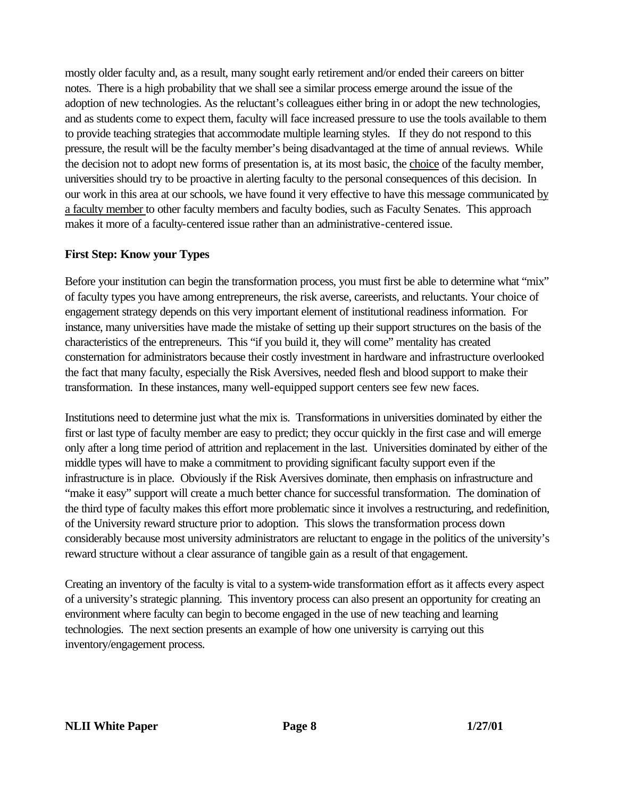mostly older faculty and, as a result, many sought early retirement and/or ended their careers on bitter notes. There is a high probability that we shall see a similar process emerge around the issue of the adoption of new technologies. As the reluctant's colleagues either bring in or adopt the new technologies, and as students come to expect them, faculty will face increased pressure to use the tools available to them to provide teaching strategies that accommodate multiple learning styles. If they do not respond to this pressure, the result will be the faculty member's being disadvantaged at the time of annual reviews. While the decision not to adopt new forms of presentation is, at its most basic, the choice of the faculty member, universities should try to be proactive in alerting faculty to the personal consequences of this decision. In our work in this area at our schools, we have found it very effective to have this message communicated by a faculty member to other faculty members and faculty bodies, such as Faculty Senates. This approach makes it more of a faculty-centered issue rather than an administrative-centered issue.

# **First Step: Know your Types**

Before your institution can begin the transformation process, you must first be able to determine what "mix" of faculty types you have among entrepreneurs, the risk averse, careerists, and reluctants. Your choice of engagement strategy depends on this very important element of institutional readiness information. For instance, many universities have made the mistake of setting up their support structures on the basis of the characteristics of the entrepreneurs. This "if you build it, they will come" mentality has created consternation for administrators because their costly investment in hardware and infrastructure overlooked the fact that many faculty, especially the Risk Aversives, needed flesh and blood support to make their transformation. In these instances, many well-equipped support centers see few new faces.

Institutions need to determine just what the mix is. Transformations in universities dominated by either the first or last type of faculty member are easy to predict; they occur quickly in the first case and will emerge only after a long time period of attrition and replacement in the last. Universities dominated by either of the middle types will have to make a commitment to providing significant faculty support even if the infrastructure is in place. Obviously if the Risk Aversives dominate, then emphasis on infrastructure and "make it easy" support will create a much better chance for successful transformation. The domination of the third type of faculty makes this effort more problematic since it involves a restructuring, and redefinition, of the University reward structure prior to adoption. This slows the transformation process down considerably because most university administrators are reluctant to engage in the politics of the university's reward structure without a clear assurance of tangible gain as a result of that engagement.

Creating an inventory of the faculty is vital to a system-wide transformation effort as it affects every aspect of a university's strategic planning. This inventory process can also present an opportunity for creating an environment where faculty can begin to become engaged in the use of new teaching and learning technologies. The next section presents an example of how one university is carrying out this inventory/engagement process.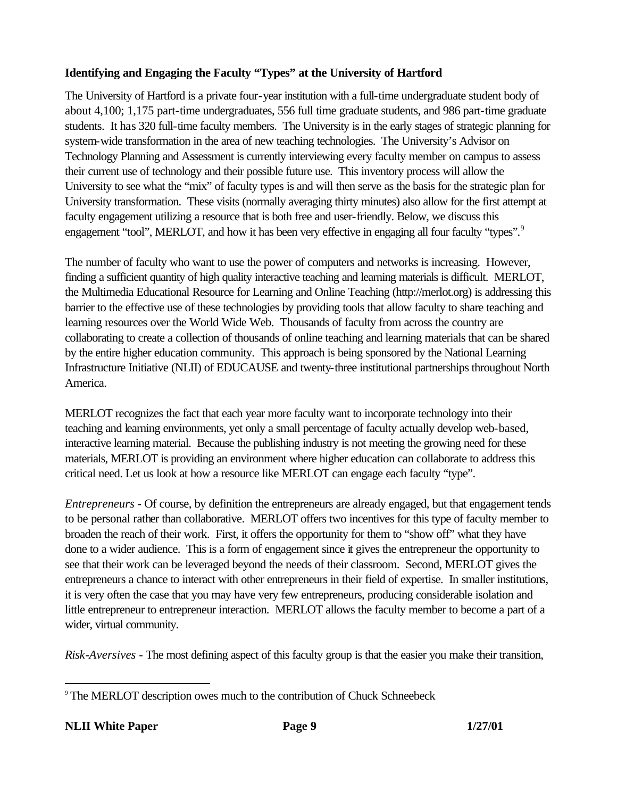# **Identifying and Engaging the Faculty "Types" at the University of Hartford**

The University of Hartford is a private four-year institution with a full-time undergraduate student body of about 4,100; 1,175 part-time undergraduates, 556 full time graduate students, and 986 part-time graduate students. It has 320 full-time faculty members. The University is in the early stages of strategic planning for system-wide transformation in the area of new teaching technologies. The University's Advisor on Technology Planning and Assessment is currently interviewing every faculty member on campus to assess their current use of technology and their possible future use. This inventory process will allow the University to see what the "mix" of faculty types is and will then serve as the basis for the strategic plan for University transformation. These visits (normally averaging thirty minutes) also allow for the first attempt at faculty engagement utilizing a resource that is both free and user-friendly. Below, we discuss this engagement "tool", MERLOT, and how it has been very effective in engaging all four faculty "types".<sup>9</sup>

The number of faculty who want to use the power of computers and networks is increasing. However, finding a sufficient quantity of high quality interactive teaching and learning materials is difficult. MERLOT, the Multimedia Educational Resource for Learning and Online Teaching (http://merlot.org) is addressing this barrier to the effective use of these technologies by providing tools that allow faculty to share teaching and learning resources over the World Wide Web. Thousands of faculty from across the country are collaborating to create a collection of thousands of online teaching and learning materials that can be shared by the entire higher education community. This approach is being sponsored by the National Learning Infrastructure Initiative (NLII) of EDUCAUSE and twenty-three institutional partnerships throughout North America.

MERLOT recognizes the fact that each year more faculty want to incorporate technology into their teaching and learning environments, yet only a small percentage of faculty actually develop web-based, interactive learning material. Because the publishing industry is not meeting the growing need for these materials, MERLOT is providing an environment where higher education can collaborate to address this critical need. Let us look at how a resource like MERLOT can engage each faculty "type".

*Entrepreneurs -* Of course, by definition the entrepreneurs are already engaged, but that engagement tends to be personal rather than collaborative. MERLOT offers two incentives for this type of faculty member to broaden the reach of their work. First, it offers the opportunity for them to "show off" what they have done to a wider audience. This is a form of engagement since it gives the entrepreneur the opportunity to see that their work can be leveraged beyond the needs of their classroom. Second, MERLOT gives the entrepreneurs a chance to interact with other entrepreneurs in their field of expertise. In smaller institutions, it is very often the case that you may have very few entrepreneurs, producing considerable isolation and little entrepreneur to entrepreneur interaction. MERLOT allows the faculty member to become a part of a wider, virtual community.

*Risk-Aversives -* The most defining aspect of this faculty group is that the easier you make their transition,

<sup>9</sup> The MERLOT description owes much to the contribution of Chuck Schneebeck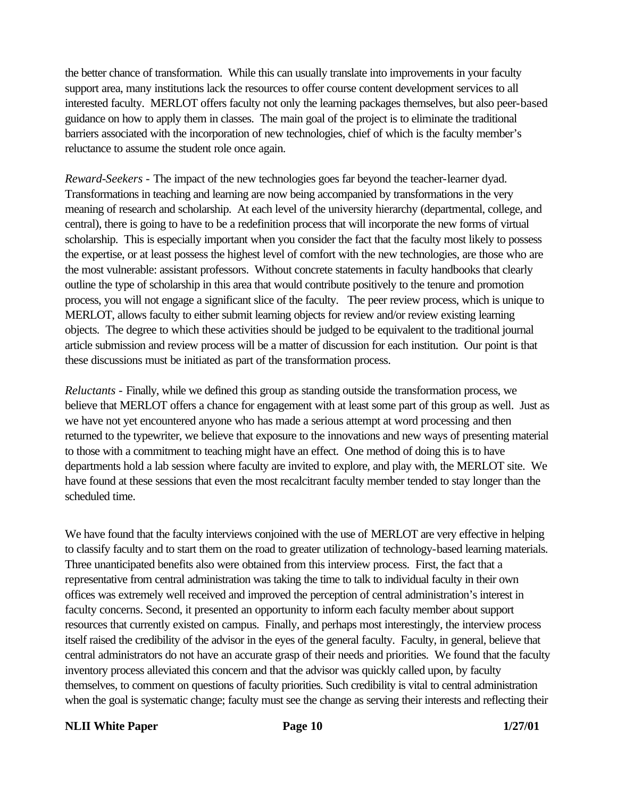the better chance of transformation. While this can usually translate into improvements in your faculty support area, many institutions lack the resources to offer course content development services to all interested faculty. MERLOT offers faculty not only the learning packages themselves, but also peer-based guidance on how to apply them in classes. The main goal of the project is to eliminate the traditional barriers associated with the incorporation of new technologies, chief of which is the faculty member's reluctance to assume the student role once again.

*Reward-Seekers* - The impact of the new technologies goes far beyond the teacher-learner dyad. Transformations in teaching and learning are now being accompanied by transformations in the very meaning of research and scholarship. At each level of the university hierarchy (departmental, college, and central), there is going to have to be a redefinition process that will incorporate the new forms of virtual scholarship. This is especially important when you consider the fact that the faculty most likely to possess the expertise, or at least possess the highest level of comfort with the new technologies, are those who are the most vulnerable: assistant professors. Without concrete statements in faculty handbooks that clearly outline the type of scholarship in this area that would contribute positively to the tenure and promotion process, you will not engage a significant slice of the faculty. The peer review process, which is unique to MERLOT, allows faculty to either submit learning objects for review and/or review existing learning objects. The degree to which these activities should be judged to be equivalent to the traditional journal article submission and review process will be a matter of discussion for each institution. Our point is that these discussions must be initiated as part of the transformation process.

*Reluctants* - Finally, while we defined this group as standing outside the transformation process, we believe that MERLOT offers a chance for engagement with at least some part of this group as well. Just as we have not yet encountered anyone who has made a serious attempt at word processing and then returned to the typewriter, we believe that exposure to the innovations and new ways of presenting material to those with a commitment to teaching might have an effect. One method of doing this is to have departments hold a lab session where faculty are invited to explore, and play with, the MERLOT site. We have found at these sessions that even the most recalcitrant faculty member tended to stay longer than the scheduled time.

We have found that the faculty interviews conjoined with the use of MERLOT are very effective in helping to classify faculty and to start them on the road to greater utilization of technology-based learning materials. Three unanticipated benefits also were obtained from this interview process. First, the fact that a representative from central administration was taking the time to talk to individual faculty in their own offices was extremely well received and improved the perception of central administration's interest in faculty concerns. Second, it presented an opportunity to inform each faculty member about support resources that currently existed on campus. Finally, and perhaps most interestingly, the interview process itself raised the credibility of the advisor in the eyes of the general faculty. Faculty, in general, believe that central administrators do not have an accurate grasp of their needs and priorities. We found that the faculty inventory process alleviated this concern and that the advisor was quickly called upon, by faculty themselves, to comment on questions of faculty priorities. Such credibility is vital to central administration when the goal is systematic change; faculty must see the change as serving their interests and reflecting their

#### **NLII White Paper Page 10 Page 10 1/27/01**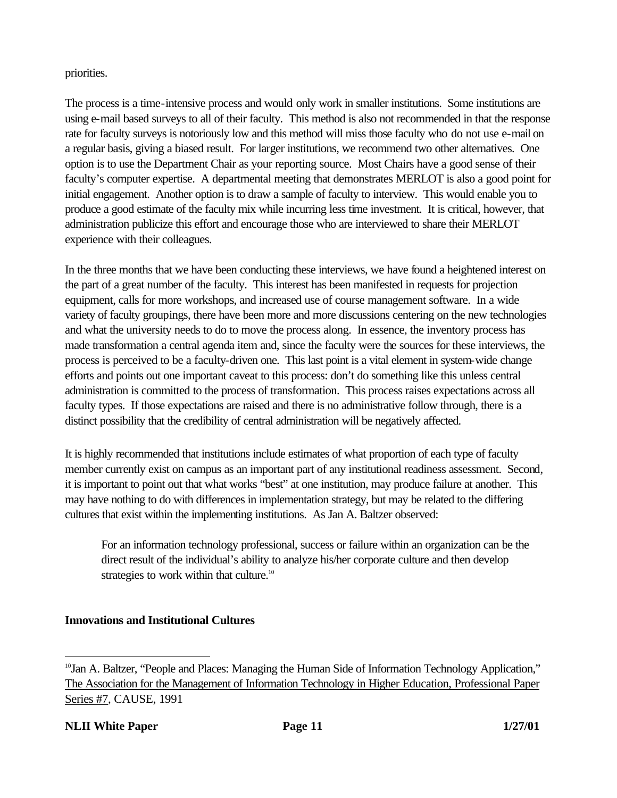# priorities.

The process is a time-intensive process and would only work in smaller institutions. Some institutions are using e-mail based surveys to all of their faculty. This method is also not recommended in that the response rate for faculty surveys is notoriously low and this method will miss those faculty who do not use e-mail on a regular basis, giving a biased result. For larger institutions, we recommend two other alternatives. One option is to use the Department Chair as your reporting source. Most Chairs have a good sense of their faculty's computer expertise. A departmental meeting that demonstrates MERLOT is also a good point for initial engagement. Another option is to draw a sample of faculty to interview. This would enable you to produce a good estimate of the faculty mix while incurring less time investment. It is critical, however, that administration publicize this effort and encourage those who are interviewed to share their MERLOT experience with their colleagues.

In the three months that we have been conducting these interviews, we have found a heightened interest on the part of a great number of the faculty. This interest has been manifested in requests for projection equipment, calls for more workshops, and increased use of course management software. In a wide variety of faculty groupings, there have been more and more discussions centering on the new technologies and what the university needs to do to move the process along. In essence, the inventory process has made transformation a central agenda item and, since the faculty were the sources for these interviews, the process is perceived to be a faculty-driven one. This last point is a vital element in system-wide change efforts and points out one important caveat to this process: don't do something like this unless central administration is committed to the process of transformation. This process raises expectations across all faculty types. If those expectations are raised and there is no administrative follow through, there is a distinct possibility that the credibility of central administration will be negatively affected.

It is highly recommended that institutions include estimates of what proportion of each type of faculty member currently exist on campus as an important part of any institutional readiness assessment. Second, it is important to point out that what works "best" at one institution, may produce failure at another. This may have nothing to do with differences in implementation strategy, but may be related to the differing cultures that exist within the implementing institutions. As Jan A. Baltzer observed:

For an information technology professional, success or failure within an organization can be the direct result of the individual's ability to analyze his/her corporate culture and then develop strategies to work within that culture.<sup>10</sup>

# **Innovations and Institutional Cultures**

<sup>&</sup>lt;sup>10</sup>Jan A. Baltzer, "People and Places: Managing the Human Side of Information Technology Application," The Association for the Management of Information Technology in Higher Education, Professional Paper Series #7, CAUSE, 1991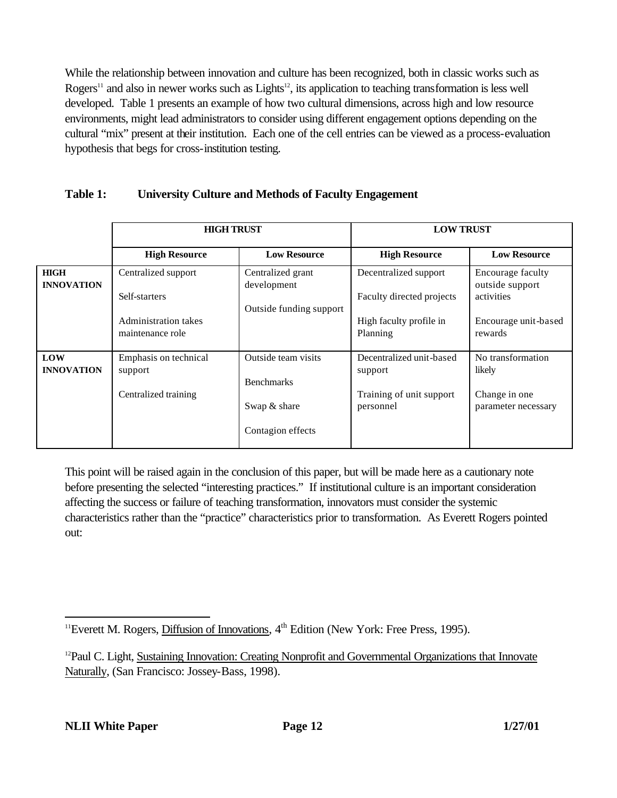While the relationship between innovation and culture has been recognized, both in classic works such as Rogers<sup>11</sup> and also in newer works such as Lights<sup>12</sup>, its application to teaching transformation is less well developed. Table 1 presents an example of how two cultural dimensions, across high and low resource environments, might lead administrators to consider using different engagement options depending on the cultural "mix" present at their institution. Each one of the cell entries can be viewed as a process-evaluation hypothesis that begs for cross-institution testing.

# **Table 1: University Culture and Methods of Faculty Engagement**

|                                  | <b>HIGH TRUST</b>                        |                                          | <b>LOW TRUST</b>                      |                                      |
|----------------------------------|------------------------------------------|------------------------------------------|---------------------------------------|--------------------------------------|
|                                  | <b>High Resource</b>                     | <b>Low Resource</b>                      | <b>High Resource</b>                  | <b>Low Resource</b>                  |
| <b>HIGH</b><br><b>INNOVATION</b> | Centralized support                      | Centralized grant<br>development         | Decentralized support                 | Encourage faculty<br>outside support |
|                                  | Self-starters                            | Outside funding support                  | Faculty directed projects             | activities                           |
|                                  | Administration takes<br>maintenance role |                                          | High faculty profile in<br>Planning   | Encourage unit-based<br>rewards      |
| <b>LOW</b><br><b>INNOVATION</b>  | Emphasis on technical<br>support         | Outside team visits<br><b>Benchmarks</b> | Decentralized unit-based<br>support   | No transformation<br>likely          |
|                                  | Centralized training                     | Swap & share                             | Training of unit support<br>personnel | Change in one<br>parameter necessary |
|                                  |                                          | Contagion effects                        |                                       |                                      |

This point will be raised again in the conclusion of this paper, but will be made here as a cautionary note before presenting the selected "interesting practices." If institutional culture is an important consideration affecting the success or failure of teaching transformation, innovators must consider the systemic characteristics rather than the "practice" characteristics prior to transformation. As Everett Rogers pointed out:

<sup>&</sup>lt;sup>11</sup>Everett M. Rogers, Diffusion of Innovations,  $4<sup>th</sup>$  Edition (New York: Free Press, 1995).

<sup>&</sup>lt;sup>12</sup>Paul C. Light, Sustaining Innovation: Creating Nonprofit and Governmental Organizations that Innovate Naturally, (San Francisco: Jossey-Bass, 1998).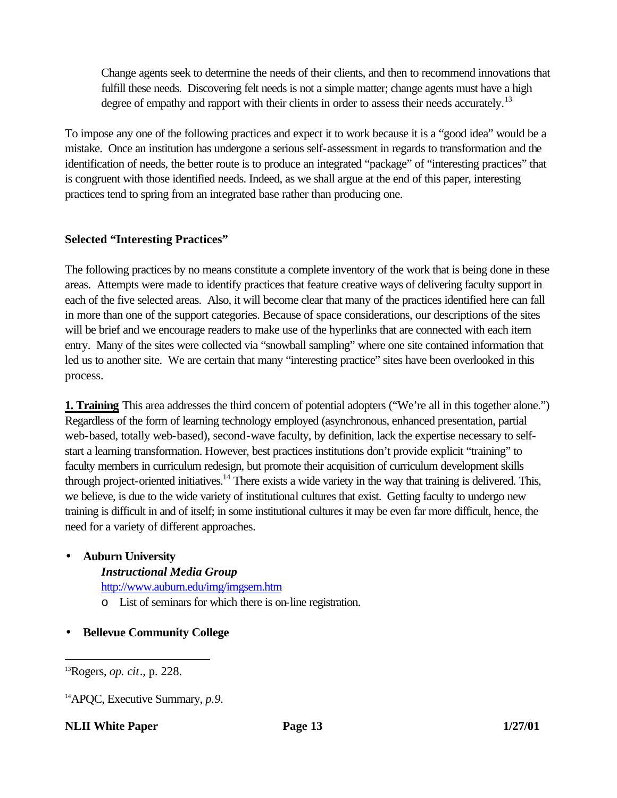Change agents seek to determine the needs of their clients, and then to recommend innovations that fulfill these needs. Discovering felt needs is not a simple matter; change agents must have a high degree of empathy and rapport with their clients in order to assess their needs accurately.<sup>13</sup>

To impose any one of the following practices and expect it to work because it is a "good idea" would be a mistake. Once an institution has undergone a serious self-assessment in regards to transformation and the identification of needs, the better route is to produce an integrated "package" of "interesting practices" that is congruent with those identified needs. Indeed, as we shall argue at the end of this paper, interesting practices tend to spring from an integrated base rather than producing one.

# **Selected "Interesting Practices"**

The following practices by no means constitute a complete inventory of the work that is being done in these areas. Attempts were made to identify practices that feature creative ways of delivering faculty support in each of the five selected areas. Also, it will become clear that many of the practices identified here can fall in more than one of the support categories. Because of space considerations, our descriptions of the sites will be brief and we encourage readers to make use of the hyperlinks that are connected with each item entry. Many of the sites were collected via "snowball sampling" where one site contained information that led us to another site. We are certain that many "interesting practice" sites have been overlooked in this process.

**1. Training** This area addresses the third concern of potential adopters ("We're all in this together alone.") Regardless of the form of learning technology employed (asynchronous, enhanced presentation, partial web-based, totally web-based), second-wave faculty, by definition, lack the expertise necessary to selfstart a learning transformation. However, best practices institutions don't provide explicit "training" to faculty members in curriculum redesign, but promote their acquisition of curriculum development skills through project-oriented initiatives.<sup>14</sup> There exists a wide variety in the way that training is delivered. This, we believe, is due to the wide variety of institutional cultures that exist. Getting faculty to undergo new training is difficult in and of itself; in some institutional cultures it may be even far more difficult, hence, the need for a variety of different approaches.

# • **Auburn University**

- *Instructional Media Group*
- http://www.auburn.edu/img/imgsem.htm
- o List of seminars for which there is on-line registration.
- **Bellevue Community College**

<sup>13</sup>Rogers, *op. cit*., p. 228.

<sup>14</sup>APQC, Executive Summary, *p.9.*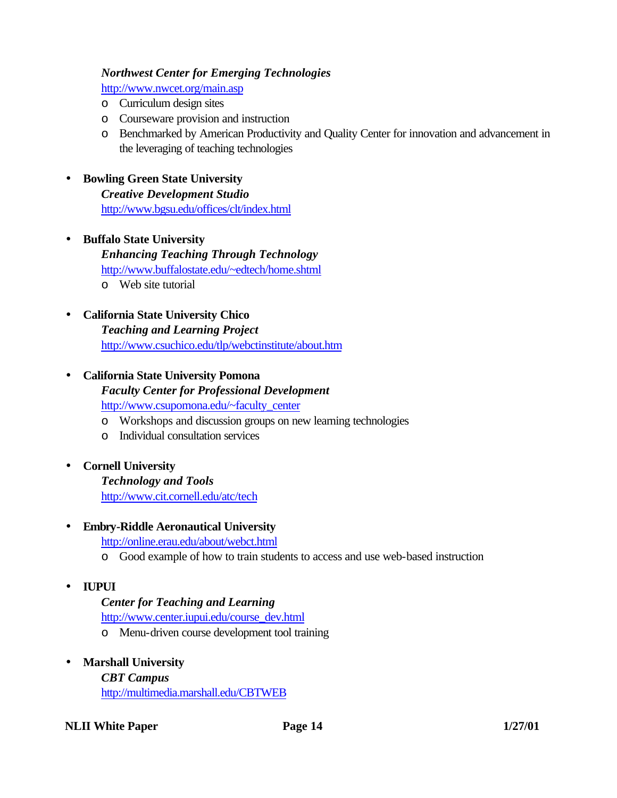# *Northwest Center for Emerging Technologies*

http://www.nwcet.org/main.asp

- o Curriculum design sites
- o Courseware provision and instruction
- o Benchmarked by American Productivity and Quality Center for innovation and advancement in the leveraging of teaching technologies

#### • **Bowling Green State University**

*Creative Development Studio* http://www.bgsu.edu/offices/clt/index.html

- **Buffalo State University** *Enhancing Teaching Through Technology* http://www.buffalostate.edu/~edtech/home.shtml o Web site tutorial
- **California State University Chico** *Teaching and Learning Project* http://www.csuchico.edu/tlp/webctinstitute/about.htm

# • **California State University Pomona** *Faculty Center for Professional Development* http://www.csupomona.edu/~faculty\_center

- o Workshops and discussion groups on new learning technologies
- o Individual consultation services
- **Cornell University**

*Technology and Tools* http://www.cit.cornell.edu/atc/tech

• **Embry-Riddle Aeronautical University**

http://online.erau.edu/about/webct.html

- o Good example of how to train students to access and use web-based instruction
- **IUPUI**

# *Center for Teaching and Learning*

http://www.center.iupui.edu/course\_dev.html

- o Menu-driven course development tool training
- **Marshall University**

*CBT Campus* http://multimedia.marshall.edu/CBTWEB

**NLII White Paper Page 14 1/27/01**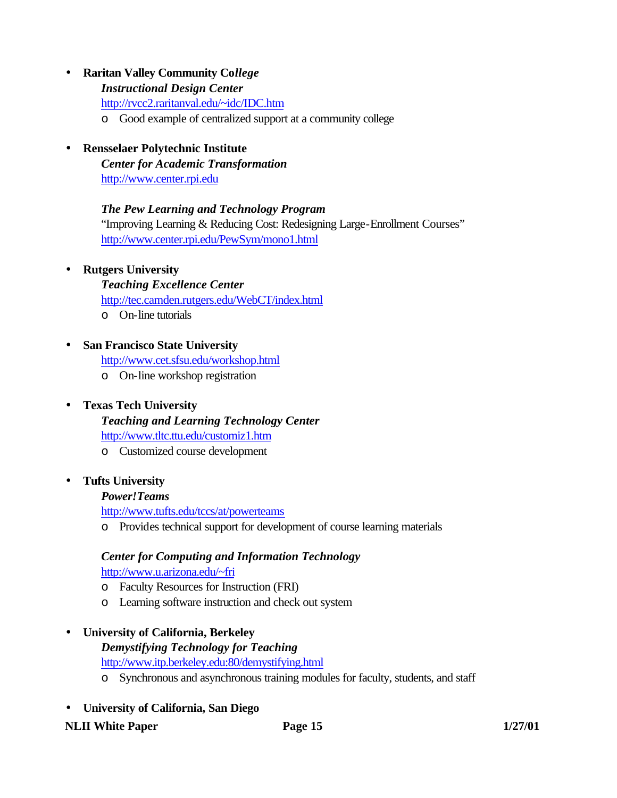# • **Raritan Valley Community Co***llege*

#### *Instructional Design Center*

http://rvcc2.raritanval.edu/~idc/IDC.htm

- o Good example of centralized support at a community college
- **Rensselaer Polytechnic Institute**

*Center for Academic Transformation* http://www.center.rpi.edu

# *The Pew Learning and Technology Program*

"Improving Learning & Reducing Cost: Redesigning Large-Enrollment Courses" http://www.center.rpi.edu/PewSym/mono1.html

- **Rutgers University**
	- *Teaching Excellence Center*

http://tec.camden.rutgers.edu/WebCT/index.html

o On-line tutorials

# • **San Francisco State University**

http://www.cet.sfsu.edu/workshop.html

o On-line workshop registration

# • **Texas Tech University**

*Teaching and Learning Technology Center*

http://www.tltc.ttu.edu/customiz1.htm

o Customized course development

# • **Tufts University**

#### *Power!Teams*

http://www.tufts.edu/tccs/at/powerteams

o Provides technical support for development of course learning materials

# *Center for Computing and Information Technology*

http://www.u.arizona.edu/~fri

- o Faculty Resources for Instruction (FRI)
- o Learning software instruction and check out system

# • **University of California, Berkeley**

# *Demystifying Technology for Teaching* http://www.itp.berkeley.edu:80/demystifying.html

- o Synchronous and asynchronous training modules for faculty, students, and staff
- **University of California, San Diego**

#### **NLII White Paper Page 15 1/27/01**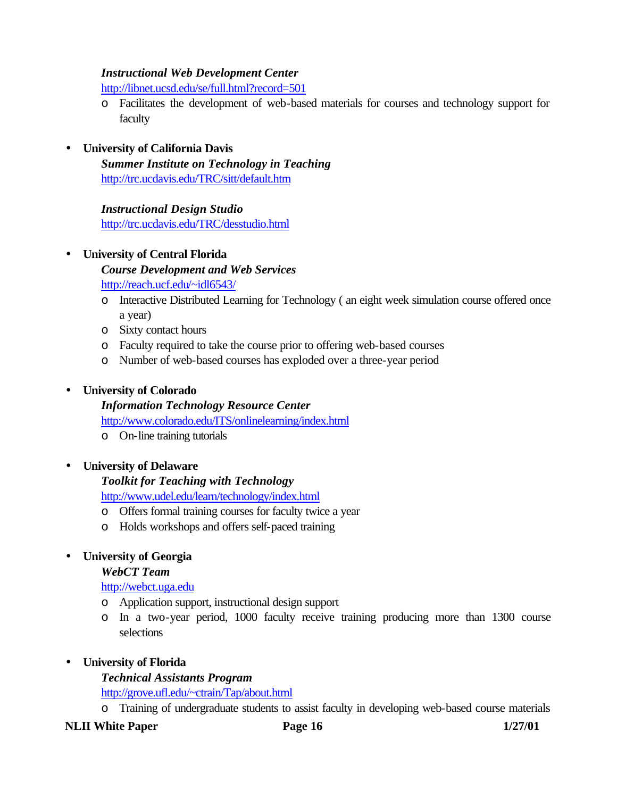#### *Instructional Web Development Center*

http://libnet.ucsd.edu/se/full.html?record=501

- o Facilitates the development of web-based materials for courses and technology support for faculty
- **University of California Davis**

*Summer Institute on Technology in Teaching* http://trc.ucdavis.edu/TRC/sitt/default.htm

*Instructional Design Studio* http://trc.ucdavis.edu/TRC/desstudio.html

# • **University of Central Florida**

*Course Development and Web Services*

http://reach.ucf.edu/~idl6543/

- o Interactive Distributed Learning for Technology ( an eight week simulation course offered once a year)
- o Sixty contact hours
- o Faculty required to take the course prior to offering web-based courses
- o Number of web-based courses has exploded over a three-year period

# • **University of Colorado**

*Information Technology Resource Center*

http://www.colorado.edu/ITS/onlinelearning/index.html

- o On-line training tutorials
- **University of Delaware**

# *Toolkit for Teaching with Technology*

http://www.udel.edu/learn/technology/index.html

- o Offers formal training courses for faculty twice a year
- o Holds workshops and offers self-paced training

# • **University of Georgia**

#### *WebCT Team*

# http://webct.uga.edu

- o Application support, instructional design support
- o In a two-year period, 1000 faculty receive training producing more than 1300 course selections

# • **University of Florida**

# *Technical Assistants Program*

http://grove.ufl.edu/~ctrain/Tap/about.html

o Training of undergraduate students to assist faculty in developing web-based course materials

# **NLII White Paper Page 16 1/27/01**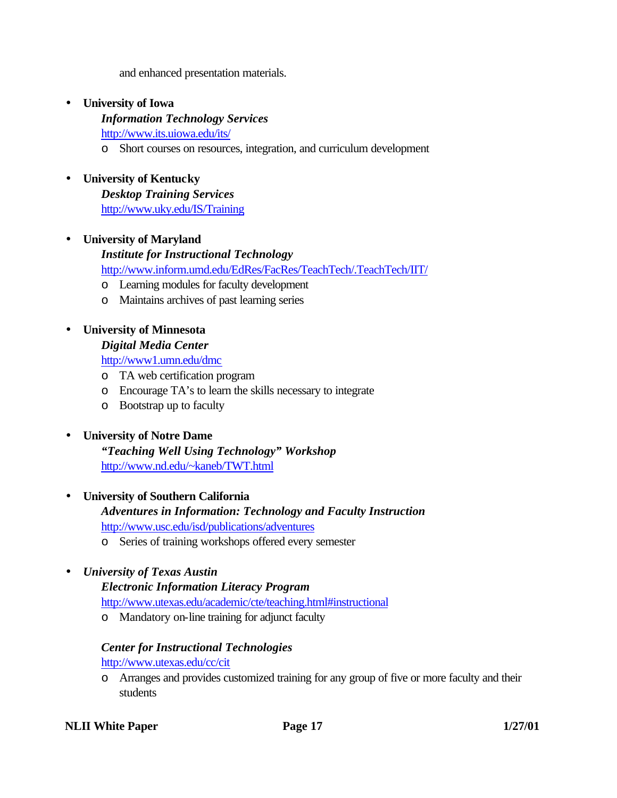and enhanced presentation materials.

• **University of Iowa**

*Information Technology Services* http://www.its.uiowa.edu/its/

- o Short courses on resources, integration, and curriculum development
- **University of Kentucky**

*Desktop Training Services* http://www.uky.edu/IS/Training

• **University of Maryland**

#### *Institute for Instructional Technology*

http://www.inform.umd.edu/EdRes/FacRes/TeachTech/.TeachTech/IIT/

- o Learning modules for faculty development
- o Maintains archives of past learning series

# • **University of Minnesota**

#### *Digital Media Center*

http://www1.umn.edu/dmc

- o TA web certification program
- o Encourage TA's to learn the skills necessary to integrate
- o Bootstrap up to faculty

# • **University of Notre Dame**

*"Teaching Well Using Technology" Workshop* http://www.nd.edu/~kaneb/TWT.html

# • **University of Southern California**

*Adventures in Information: Technology and Faculty Instruction* http://www.usc.edu/isd/publications/adventures

o Series of training workshops offered every semester

# • *University of Texas Austin*

# *Electronic Information Literacy Program*

http://www.utexas.edu/academic/cte/teaching.html#instructional

o Mandatory on-line training for adjunct faculty

# *Center for Instructional Technologies*

http://www.utexas.edu/cc/cit

o Arranges and provides customized training for any group of five or more faculty and their students

#### **NLII White Paper Page 17 1/27/01**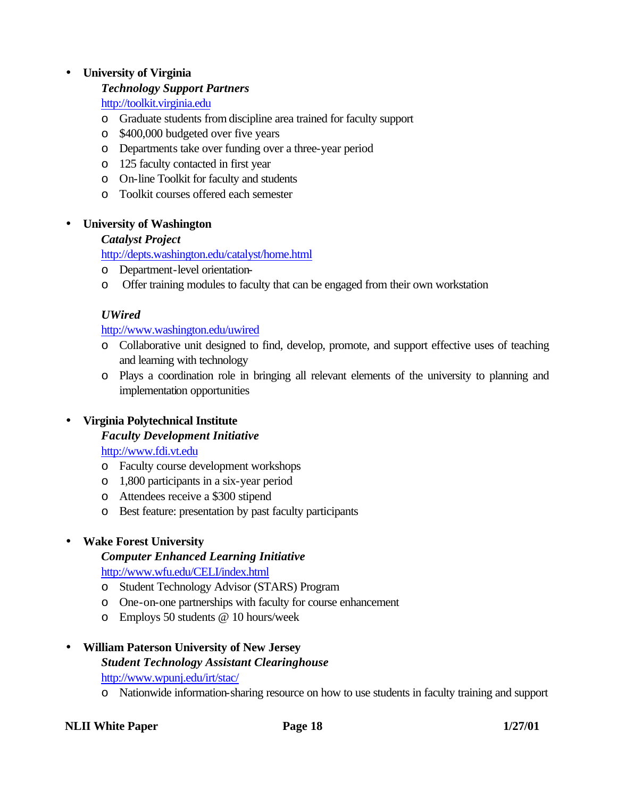# • **University of Virginia**

# *Technology Support Partners*

http://toolkit.virginia.edu

- o Graduate students from discipline area trained for faculty support
- o \$400,000 budgeted over five years
- o Departments take over funding over a three-year period
- o 125 faculty contacted in first year
- o On-line Toolkit for faculty and students
- o Toolkit courses offered each semester

# • **University of Washington**

# *Catalyst Project*

http://depts.washington.edu/catalyst/home.html

- o Department-level orientation-
- o Offer training modules to faculty that can be engaged from their own workstation

# *UWired*

http://www.washington.edu/uwired

- o Collaborative unit designed to find, develop, promote, and support effective uses of teaching and learning with technology
- o Plays a coordination role in bringing all relevant elements of the university to planning and implementation opportunities

# • **Virginia Polytechnical Institute**

# *Faculty Development Initiative*

# http://www.fdi.vt.edu

- o Faculty course development workshops
- o 1,800 participants in a six-year period
- o Attendees receive a \$300 stipend
- o Best feature: presentation by past faculty participants

# • **Wake Forest University**

# *Computer Enhanced Learning Initiative*

http://www.wfu.edu/CELI/index.html

- o Student Technology Advisor (STARS) Program
- o One-on-one partnerships with faculty for course enhancement
- o Employs 50 students @ 10 hours/week

# • **William Paterson University of New Jersey**

# *Student Technology Assistant Clearinghouse*

http://www.wpunj.edu/irt/stac/

o Nationwide information-sharing resource on how to use students in faculty training and support

# **NLII White Paper Page 18 1/27/01**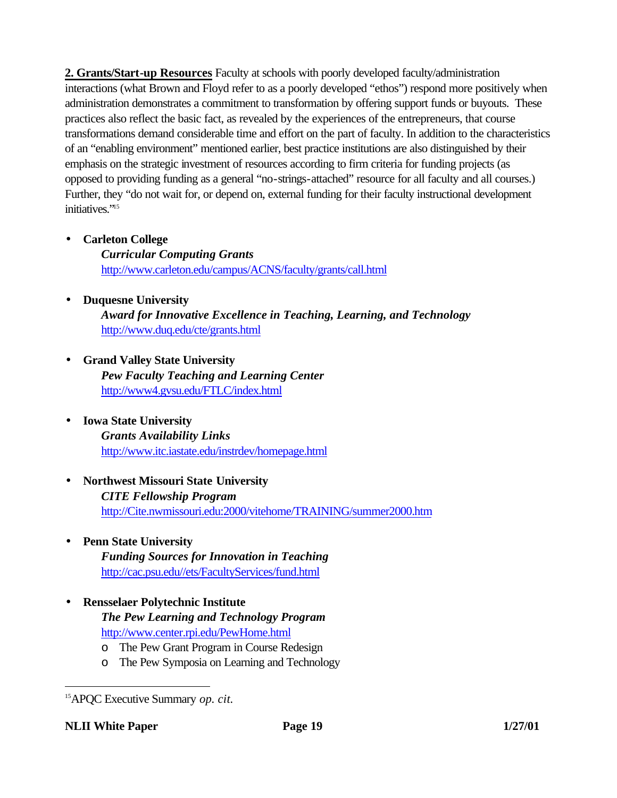**2. Grants/Start-up Resources** Faculty at schools with poorly developed faculty/administration interactions (what Brown and Floyd refer to as a poorly developed "ethos") respond more positively when administration demonstrates a commitment to transformation by offering support funds or buyouts. These practices also reflect the basic fact, as revealed by the experiences of the entrepreneurs, that course transformations demand considerable time and effort on the part of faculty. In addition to the characteristics of an "enabling environment" mentioned earlier, best practice institutions are also distinguished by their emphasis on the strategic investment of resources according to firm criteria for funding projects (as opposed to providing funding as a general "no-strings-attached" resource for all faculty and all courses.) Further, they "do not wait for, or depend on, external funding for their faculty instructional development initiatives."<sup>15</sup>

• **Carleton College**

*Curricular Computing Grants* http://www.carleton.edu/campus/ACNS/faculty/grants/call.html

- **Duquesne University** *Award for Innovative Excellence in Teaching, Learning, and Technology* http://www.duq.edu/cte/grants.html
- **Grand Valley State University** *Pew Faculty Teaching and Learning Center* http://www4.gvsu.edu/FTLC/index.html
- **Iowa State University** *Grants Availability Links* http://www.itc.iastate.edu/instrdev/homepage.html
- **Northwest Missouri State University** *CITE Fellowship Program* http://Cite.nwmissouri.edu:2000/vitehome/TRAINING/summer2000.htm
- **Penn State University** *Funding Sources for Innovation in Teaching* http://cac.psu.edu//ets/FacultyServices/fund.html
	- **Rensselaer Polytechnic Institute** *The Pew Learning and Technology Program* http://www.center.rpi.edu/PewHome.html
		- o The Pew Grant Program in Course Redesign
		- o The Pew Symposia on Learning and Technology

<sup>15</sup>APQC Executive Summary *op. cit.*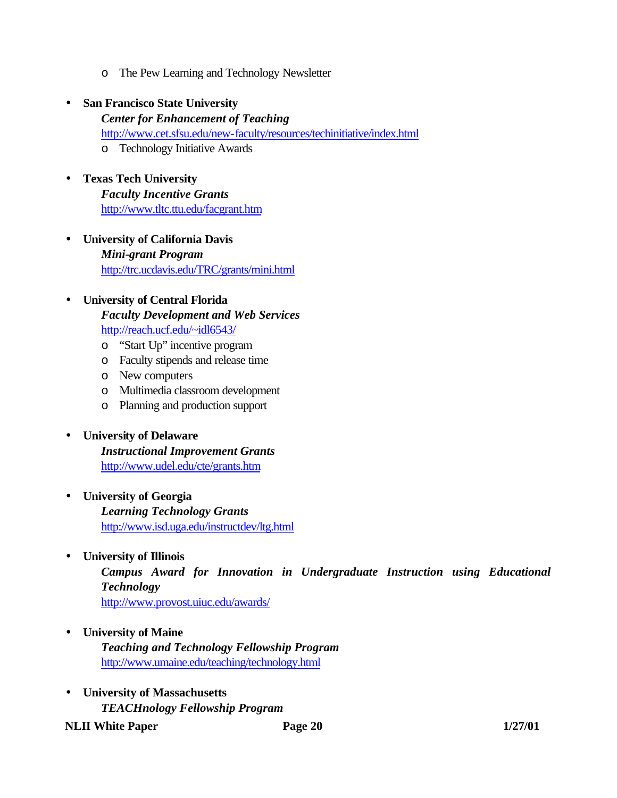o The Pew Learning and Technology Newsletter

# • **San Francisco State University**

- *Center for Enhancement of Teaching* http://www.cet.sfsu.edu/new-faculty/resources/techinitiative/index.html o Technology Initiative Awards
- **Texas Tech University** *Faculty Incentive Grants* http://www.tltc.ttu.edu/facgrant.htm
- **University of California Davis** *Mini-grant Program* http://trc.ucdavis.edu/TRC/grants/mini.html

# • **University of Central Florida**  *Faculty Development and Web Services* http://reach.ucf.edu/~idl6543/

- o "Start Up" incentive program
- o Faculty stipends and release time
- o New computers
- o Multimedia classroom development
- o Planning and production support

# • **University of Delaware**

*Instructional Improvement Grants* http://www.udel.edu/cte/grants.htm

- **University of Georgia** *Learning Technology Grants* http://www.isd.uga.edu/instructdev/ltg.html
- **University of Illinois**

*Campus Award for Innovation in Undergraduate Instruction using Educational Technology* http://www.provost.uiuc.edu/awards/

- **University of Maine** *Teaching and Technology Fellowship Program* http://www.umaine.edu/teaching/technology.html
- **University of Massachusetts** *TEACHnology Fellowship Program*

**NLII** White Paper **Page 20** 1/27/01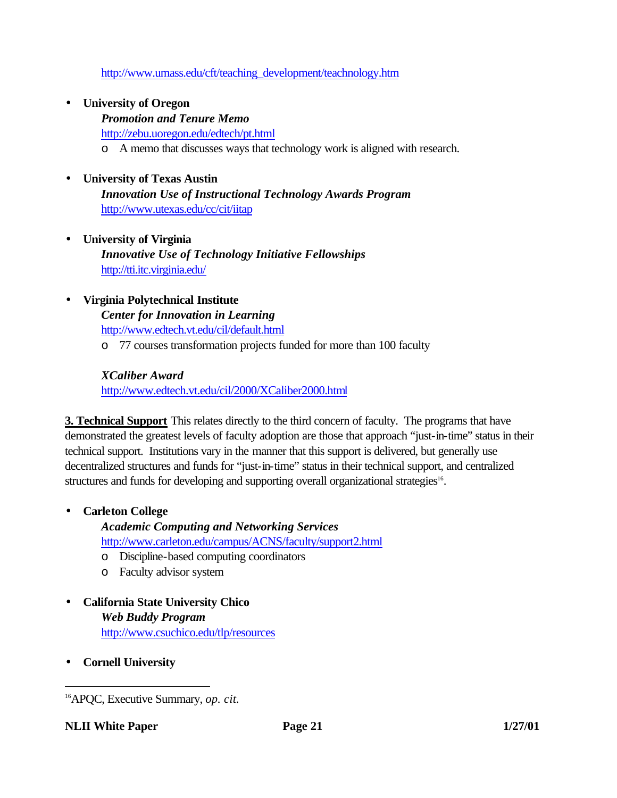http://www.umass.edu/cft/teaching\_development/teachnology.htm

- **University of Oregon**
	- *Promotion and Tenure Memo* http://zebu.uoregon.edu/edtech/pt.html o A memo that discusses ways that technology work is aligned with research.

# • **University of Texas Austin**

*Innovation Use of Instructional Technology Awards Program* http://www.utexas.edu/cc/cit/iitap

- **University of Virginia**  *Innovative Use of Technology Initiative Fellowships* http://tti.itc.virginia.edu/
- **Virginia Polytechnical Institute**

*Center for Innovation in Learning* http://www.edtech.vt.edu/cil/default.html o 77 courses transformation projects funded for more than 100 faculty

# *XCaliber Award*

http://www.edtech.vt.edu/cil/2000/XCaliber2000.html

**3. Technical Support** This relates directly to the third concern of faculty. The programs that have demonstrated the greatest levels of faculty adoption are those that approach "just-in-time" status in their technical support. Institutions vary in the manner that this support is delivered, but generally use decentralized structures and funds for "just-in-time" status in their technical support, and centralized structures and funds for developing and supporting overall organizational strategies<sup>16</sup>.

# • **Carleton College**

*Academic Computing and Networking Services* http://www.carleton.edu/campus/ACNS/faculty/support2.html

- o Discipline-based computing coordinators
- o Faculty advisor system
- **California State University Chico** *Web Buddy Program* http://www.csuchico.edu/tlp/resources
- **Cornell University**

<sup>16</sup>APQC, Executive Summary, *op. cit.*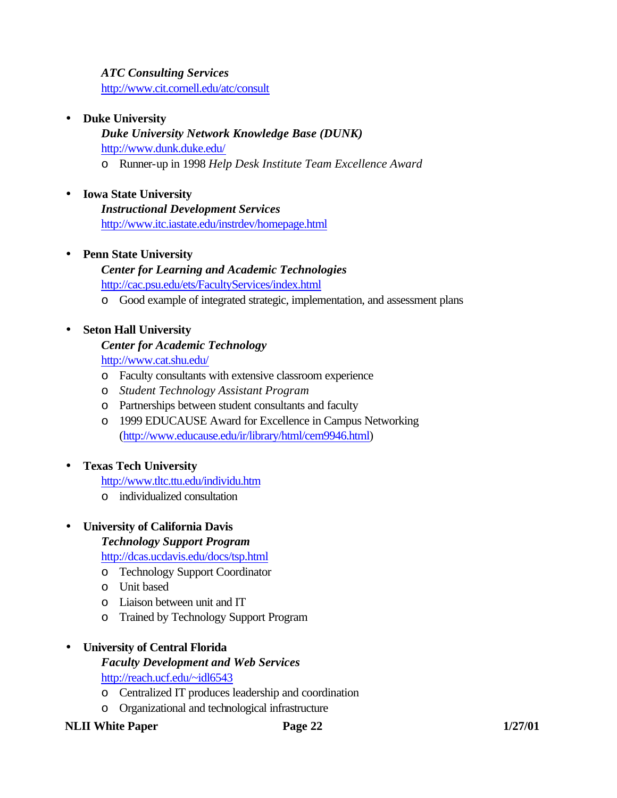# *ATC Consulting Services*

http://www.cit.cornell.edu/atc/consult

#### • **Duke University**

*Duke University Network Knowledge Base (DUNK)* http://www.dunk.duke.edu/ o Runner-up in 1998 *Help Desk Institute Team Excellence Award*

#### • **Iowa State University**

*Instructional Development Services* http://www.itc.iastate.edu/instrdev/homepage.html

#### • **Penn State University**

# *Center for Learning and Academic Technologies* http://cac.psu.edu/ets/FacultyServices/index.html

o Good example of integrated strategic, implementation, and assessment plans

#### • **Seton Hall University**

#### *Center for Academic Technology*

http://www.cat.shu.edu/

- o Faculty consultants with extensive classroom experience
- o *Student Technology Assistant Program*
- o Partnerships between student consultants and faculty
- o 1999 EDUCAUSE Award for Excellence in Campus Networking (http://www.educause.edu/ir/library/html/cem9946.html)

#### • **Texas Tech University**

http://www.tltc.ttu.edu/individu.htm

o individualized consultation

#### • **University of California Davis**

*Technology Support Program*

http://dcas.ucdavis.edu/docs/tsp.html

- o Technology Support Coordinator
- o Unit based
- o Liaison between unit and IT
- o Trained by Technology Support Program

#### • **University of Central Florida**

*Faculty Development and Web Services* http://reach.ucf.edu/~idl6543

- o Centralized IT produces leadership and coordination
- o Organizational and technological infrastructure

#### **NLII White Paper Page 22** 1/27/01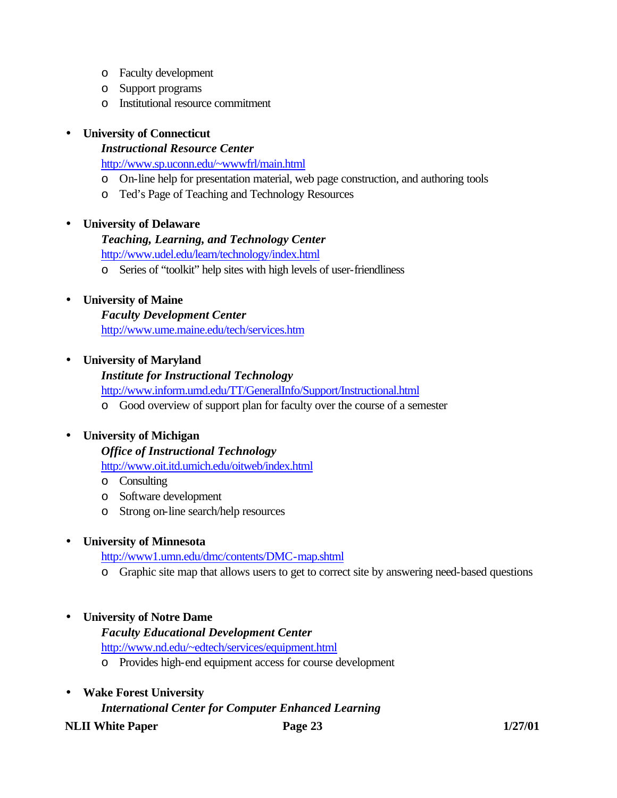- o Faculty development
- o Support programs
- o Institutional resource commitment

# • **University of Connecticut**

# *Instructional Resource Center*

http://www.sp.uconn.edu/~wwwfrl/main.html

- o On-line help for presentation material, web page construction, and authoring tools
- o Ted's Page of Teaching and Technology Resources

# • **University of Delaware**

# *Teaching, Learning, and Technology Center*

http://www.udel.edu/learn/technology/index.html

o Series of "toolkit" help sites with high levels of user-friendliness

# • **University of Maine**

*Faculty Development Center* http://www.ume.maine.edu/tech/services.htm

# • **University of Maryland**

# *Institute for Instructional Technology*

http://www.inform.umd.edu/TT/GeneralInfo/Support/Instructional.html

o Good overview of support plan for faculty over the course of a semester

# • **University of Michigan**

# *Office of Instructional Technology*

http://www.oit.itd.umich.edu/oitweb/index.html

- o Consulting
- o Software development
- o Strong on-line search/help resources

# • **University of Minnesota**

http://www1.umn.edu/dmc/contents/DMC-map.shtml

o Graphic site map that allows users to get to correct site by answering need-based questions

# • **University of Notre Dame**

*Faculty Educational Development Center*

http://www.nd.edu/~edtech/services/equipment.html

- o Provides high-end equipment access for course development
- **Wake Forest University**

# *International Center for Computer Enhanced Learning*

**NLII White Paper Page 23 1/27/01**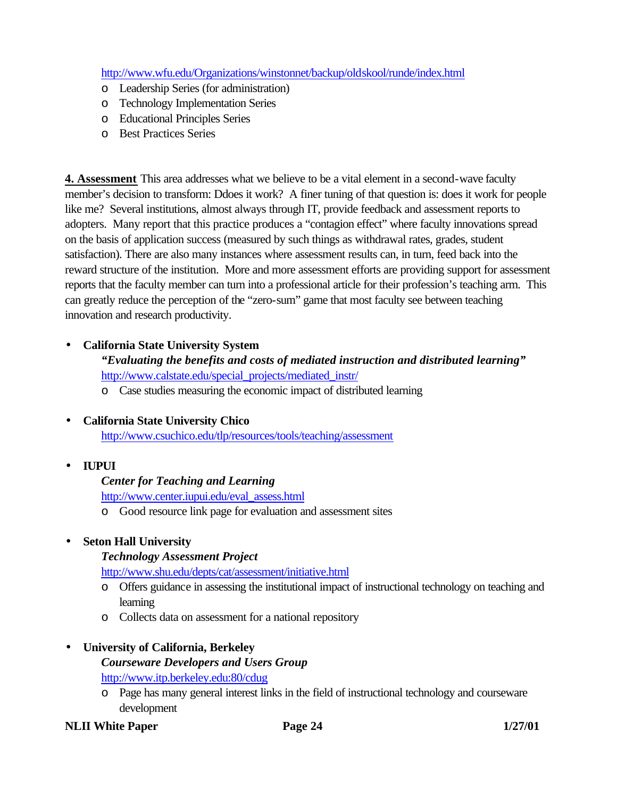http://www.wfu.edu/Organizations/winstonnet/backup/oldskool/runde/index.html

- o Leadership Series (for administration)
- o Technology Implementation Series
- o Educational Principles Series
- o Best Practices Series

**4. Assessment** This area addresses what we believe to be a vital element in a second-wave faculty member's decision to transform: Ddoes it work? A finer tuning of that question is: does it work for people like me? Several institutions, almost always through IT, provide feedback and assessment reports to adopters. Many report that this practice produces a "contagion effect" where faculty innovations spread on the basis of application success (measured by such things as withdrawal rates, grades, student satisfaction). There are also many instances where assessment results can, in turn, feed back into the reward structure of the institution. More and more assessment efforts are providing support for assessment reports that the faculty member can turn into a professional article for their profession's teaching arm. This can greatly reduce the perception of the "zero-sum" game that most faculty see between teaching innovation and research productivity.

# • **California State University System**

# *"Evaluating the benefits and costs of mediated instruction and distributed learning"* http://www.calstate.edu/special\_projects/mediated\_instr/

o Case studies measuring the economic impact of distributed learning

# • **California State University Chico**

http://www.csuchico.edu/tlp/resources/tools/teaching/assessment

• **IUPUI**

# *Center for Teaching and Learning*

http://www.center.iupui.edu/eval\_assess.html

o Good resource link page for evaluation and assessment sites

# • **Seton Hall University**

# *Technology Assessment Project*

http://www.shu.edu/depts/cat/assessment/initiative.html

- o Offers guidance in assessing the institutional impact of instructional technology on teaching and learning
- o Collects data on assessment for a national repository

# • **University of California, Berkeley**

# *Courseware Developers and Users Group* http://www.itp.berkeley.edu:80/cdug

o Page has many general interest links in the field of instructional technology and courseware development

# **NLII White Paper Page 24 1/27/01**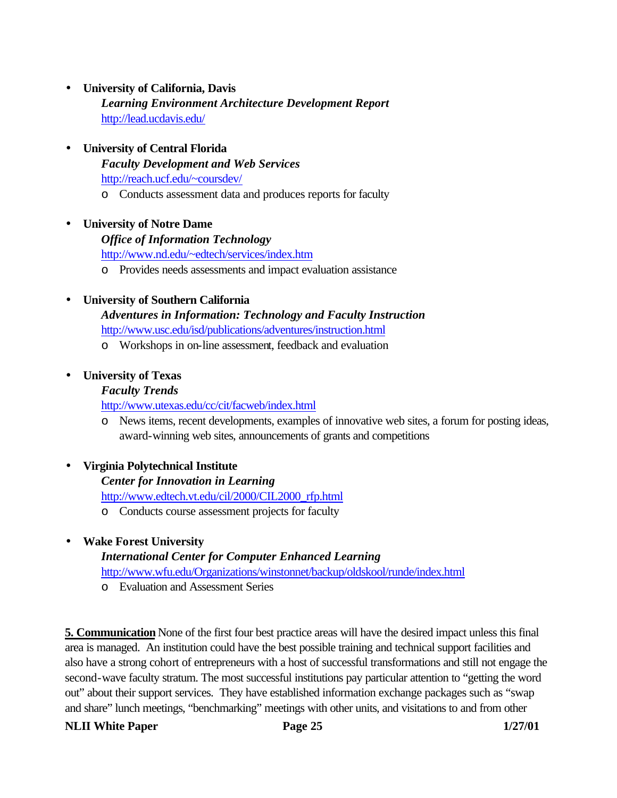- **University of California, Davis** *Learning Environment Architecture Development Report* http://lead.ucdavis.edu/
- **University of Central Florida** *Faculty Development and Web Services* http://reach.ucf.edu/~coursdev/ o Conducts assessment data and produces reports for faculty

#### • **University of Notre Dame**

#### *Office of Information Technology*

http://www.nd.edu/~edtech/services/index.htm

o Provides needs assessments and impact evaluation assistance

#### • **University of Southern California**

*Adventures in Information: Technology and Faculty Instruction*

- http://www.usc.edu/isd/publications/adventures/instruction.html
- o Workshops in on-line assessment, feedback and evaluation

#### • **University of Texas**

#### *Faculty Trends*

http://www.utexas.edu/cc/cit/facweb/index.html

o News items, recent developments, examples of innovative web sites, a forum for posting ideas, award-winning web sites, announcements of grants and competitions

#### • **Virginia Polytechnical Institute**

#### *Center for Innovation in Learning*

http://www.edtech.vt.edu/cil/2000/CIL2000\_rfp.html

o Conducts course assessment projects for faculty

# • **Wake Forest University**

# *International Center for Computer Enhanced Learning*

http://www.wfu.edu/Organizations/winstonnet/backup/oldskool/runde/index.html

o Evaluation and Assessment Series

**5. Communication** None of the first four best practice areas will have the desired impact unless this final area is managed. An institution could have the best possible training and technical support facilities and also have a strong cohort of entrepreneurs with a host of successful transformations and still not engage the second-wave faculty stratum. The most successful institutions pay particular attention to "getting the word out" about their support services. They have established information exchange packages such as "swap and share" lunch meetings, "benchmarking" meetings with other units, and visitations to and from other

#### **NLII White Paper Page 25 1/27/01**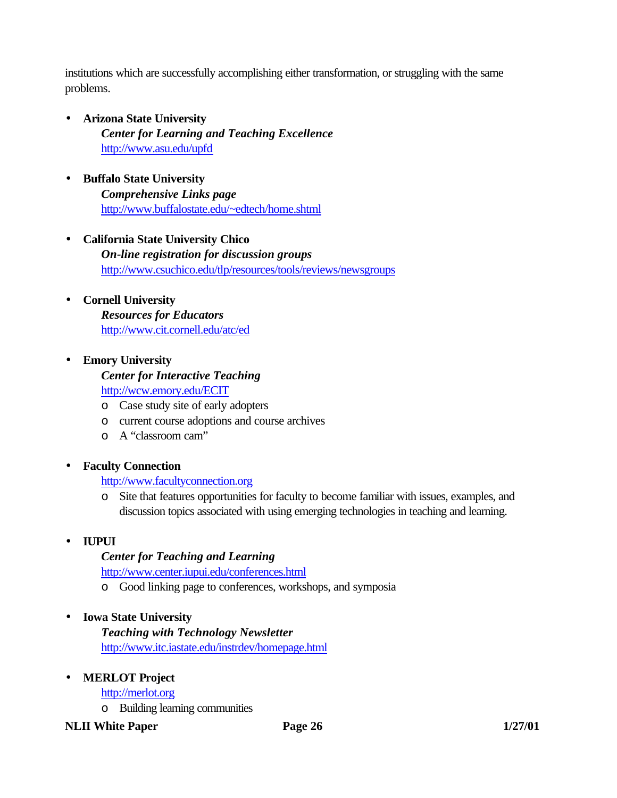institutions which are successfully accomplishing either transformation, or struggling with the same problems.

- **Arizona State University** *Center for Learning and Teaching Excellence* http://www.asu.edu/upfd
- **Buffalo State University** *Comprehensive Links page* http://www.buffalostate.edu/~edtech/home.shtml
- **California State University Chico** *On-line registration for discussion groups* http://www.csuchico.edu/tlp/resources/tools/reviews/newsgroups
- **Cornell University** *Resources for Educators* http://www.cit.cornell.edu/atc/ed
- **Emory University**

*Center for Interactive Teaching* http://wcw.emory.edu/ECIT

- o Case study site of early adopters
- o current course adoptions and course archives
- o A "classroom cam"

# • **Faculty Connection**

http://www.facultyconnection.org

o Site that features opportunities for faculty to become familiar with issues, examples, and discussion topics associated with using emerging technologies in teaching and learning.

# • **IUPUI**

# *Center for Teaching and Learning*

http://www.center.iupui.edu/conferences.html

o Good linking page to conferences, workshops, and symposia

# • **Iowa State University**

*Teaching with Technology Newsletter* http://www.itc.iastate.edu/instrdev/homepage.html

# • **MERLOT Project**

# http://merlot.org

o Building learning communities

# **NLII White Paper Page 26 1/27/01**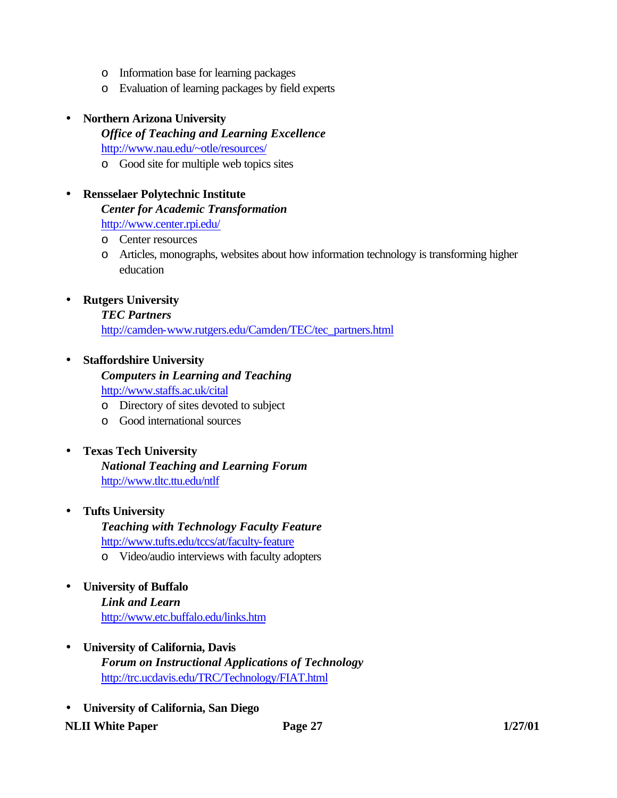- o Information base for learning packages
- o Evaluation of learning packages by field experts

#### • **Northern Arizona University**

*Office of Teaching and Learning Excellence* http://www.nau.edu/~otle/resources/ o Good site for multiple web topics sites

# • **Rensselaer Polytechnic Institute**

*Center for Academic Transformation*

http://www.center.rpi.edu/

- o Center resources
- o Articles, monographs, websites about how information technology is transforming higher education

# • **Rutgers University**

#### *TEC Partners*

http://camden-www.rutgers.edu/Camden/TEC/tec\_partners.html

# • **Staffordshire University**

# *Computers in Learning and Teaching* http://www.staffs.ac.uk/cital

- o Directory of sites devoted to subject
- o Good international sources

# • **Texas Tech University**

# *National Teaching and Learning Forum* http://www.tltc.ttu.edu/ntlf

# • **Tufts University**

# *Teaching with Technology Faculty Feature* http://www.tufts.edu/tccs/at/faculty-feature

o Video/audio interviews with faculty adopters

# • **University of Buffalo** *Link and Learn* http://www.etc.buffalo.edu/links.htm

- **University of California, Davis** *Forum on Instructional Applications of Technology* http://trc.ucdavis.edu/TRC/Technology/FIAT.html
- **University of California, San Diego**

# **NLII White Paper Page 27 Page 27 Page 27 Page 27 Page 27 Page 27 Page 27 Page 27 Page 27 Page 27 Page 27 Page 27 Page 27 Page 27 Page 27 Page 27 Page 27 Page 27 Page 27 Page 27 Pa**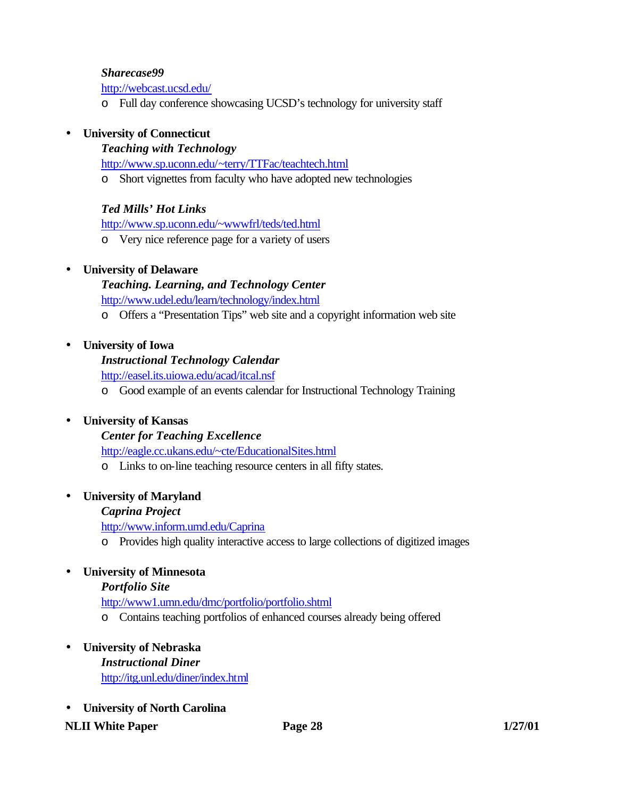#### *Sharecase99*

http://webcast.ucsd.edu/

o Full day conference showcasing UCSD's technology for university staff

# • **University of Connecticut**

#### *Teaching with Technology*

http://www.sp.uconn.edu/~terry/TTFac/teachtech.html

o Short vignettes from faculty who have adopted new technologies

# *Ted Mills' Hot Links*

http://www.sp.uconn.edu/~wwwfrl/teds/ted.html

o Very nice reference page for a variety of users

# • **University of Delaware**

*Teaching. Learning, and Technology Center* http://www.udel.edu/learn/technology/index.html

o Offers a "Presentation Tips" web site and a copyright information web site

# • **University of Iowa**

# *Instructional Technology Calendar*

http://easel.its.uiowa.edu/acad/itcal.nsf

o Good example of an events calendar for Instructional Technology Training

# • **University of Kansas**

# *Center for Teaching Excellence*

http://eagle.cc.ukans.edu/~cte/EducationalSites.html

o Links to on-line teaching resource centers in all fifty states.

# • **University of Maryland**

# *Caprina Project*

http://www.inform.umd.edu/Caprina

o Provides high quality interactive access to large collections of digitized images

# • **University of Minnesota**

# *Portfolio Site*

http://www1.umn.edu/dmc/portfolio/portfolio.shtml

o Contains teaching portfolios of enhanced courses already being offered

# • **University of Nebraska**

*Instructional Diner* http://itg.unl.edu/diner/index.html

• **University of North Carolina**

# **NLII White Paper Page 28 1/27/01**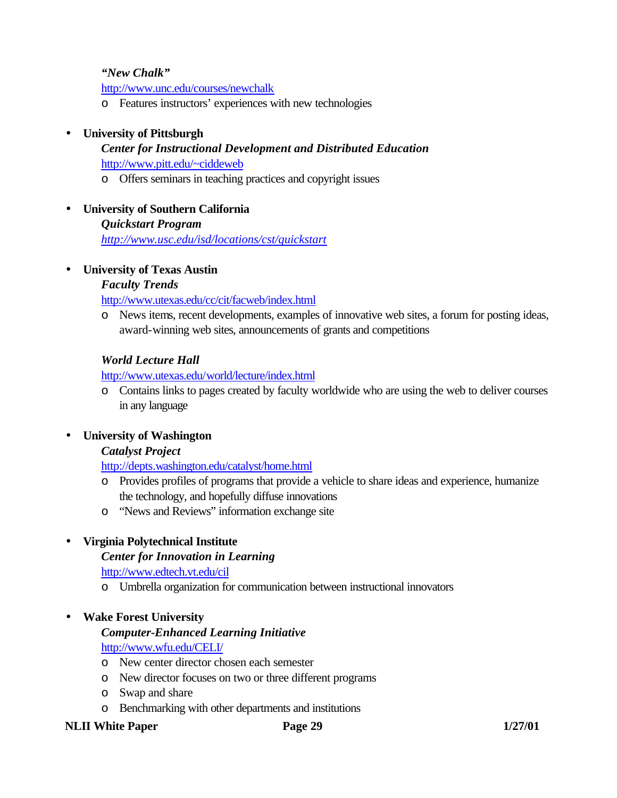#### *"New Chalk"*

http://www.unc.edu/courses/newchalk

o Features instructors' experiences with new technologies

#### • **University of Pittsburgh**

# *Center for Instructional Development and Distributed Education* http://www.pitt.edu/~ciddeweb

- o Offers seminars in teaching practices and copyright issues
- **University of Southern California** *Quickstart Program*

*http://www.usc.edu/isd/locations/cst/quickstart*

#### • **University of Texas Austin**

#### *Faculty Trends*

http://www.utexas.edu/cc/cit/facweb/index.html

o News items, recent developments, examples of innovative web sites, a forum for posting ideas, award-winning web sites, announcements of grants and competitions

#### *World Lecture Hall*

http://www.utexas.edu/world/lecture/index.html

o Contains links to pages created by faculty worldwide who are using the web to deliver courses in any language

#### • **University of Washington**

#### *Catalyst Project*

http://depts.washington.edu/catalyst/home.html

- o Provides profiles of programs that provide a vehicle to share ideas and experience, humanize the technology, and hopefully diffuse innovations
- o "News and Reviews" information exchange site

#### • **Virginia Polytechnical Institute**

#### *Center for Innovation in Learning*

http://www.edtech.vt.edu/cil

o Umbrella organization for communication between instructional innovators

#### • **Wake Forest University**

#### *Computer-Enhanced Learning Initiative*

http://www.wfu.edu/CELI/

- o New center director chosen each semester
- o New director focuses on two or three different programs
- o Swap and share
- o Benchmarking with other departments and institutions

#### **NLII White Paper Page 29 1/27/01**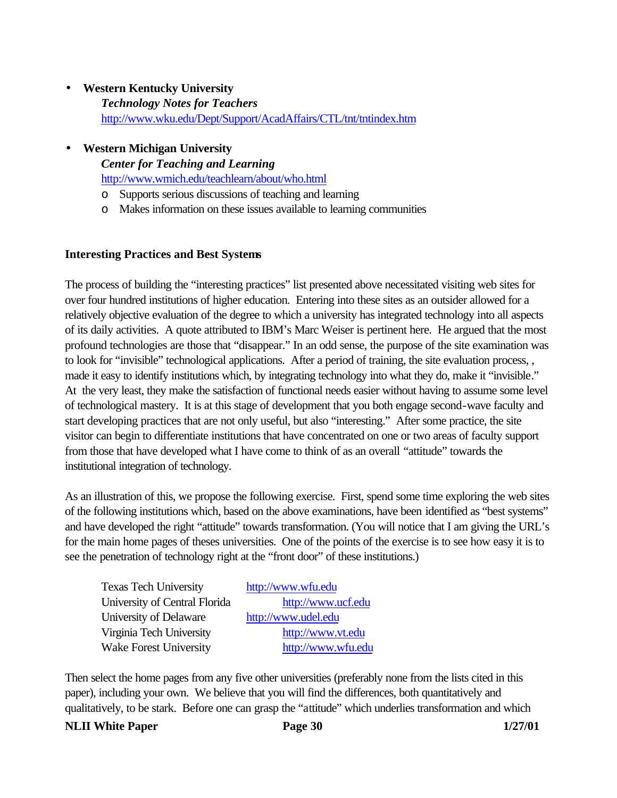- **Western Kentucky University** *Technology Notes for Teachers* http://www.wku.edu/Dept/Support/AcadAffairs/CTL/tnt/tntindex.htm
- **Western Michigan University**

*Center for Teaching and Learning* http://www.wmich.edu/teachlearn/about/who.html

- o Supports serious discussions of teaching and learning
- o Makes information on these issues available to learning communities

#### **Interesting Practices and Best Systems**

The process of building the "interesting practices" list presented above necessitated visiting web sites for over four hundred institutions of higher education. Entering into these sites as an outsider allowed for a relatively objective evaluation of the degree to which a university has integrated technology into all aspects of its daily activities. A quote attributed to IBM's Marc Weiser is pertinent here. He argued that the most profound technologies are those that "disappear." In an odd sense, the purpose of the site examination was to look for "invisible" technological applications. After a period of training, the site evaluation process, , made it easy to identify institutions which, by integrating technology into what they do, make it "invisible." At the very least, they make the satisfaction of functional needs easier without having to assume some level of technological mastery. It is at this stage of development that you both engage second-wave faculty and start developing practices that are not only useful, but also "interesting." After some practice, the site visitor can begin to differentiate institutions that have concentrated on one or two areas of faculty support from those that have developed what I have come to think of as an overall "attitude" towards the institutional integration of technology.

As an illustration of this, we propose the following exercise. First, spend some time exploring the web sites of the following institutions which, based on the above examinations, have been identified as "best systems" and have developed the right "attitude" towards transformation. (You will notice that I am giving the URL's for the main home pages of theses universities. One of the points of the exercise is to see how easy it is to see the penetration of technology right at the "front door" of these institutions.)

| <b>Texas Tech University</b>  | http://www.wfu.edu  |
|-------------------------------|---------------------|
| University of Central Florida | http://www.ucf.edu  |
| University of Delaware        | http://www.udel.edu |
| Virginia Tech University      | http://www.vt.edu   |
| <b>Wake Forest University</b> | http://www.wfu.edu  |

Then select the home pages from any five other universities (preferably none from the lists cited in this paper), including your own. We believe that you will find the differences, both quantitatively and qualitatively, to be stark. Before one can grasp the "attitude" which underlies transformation and which

#### **NLII** White Paper **Page 30** 1/27/01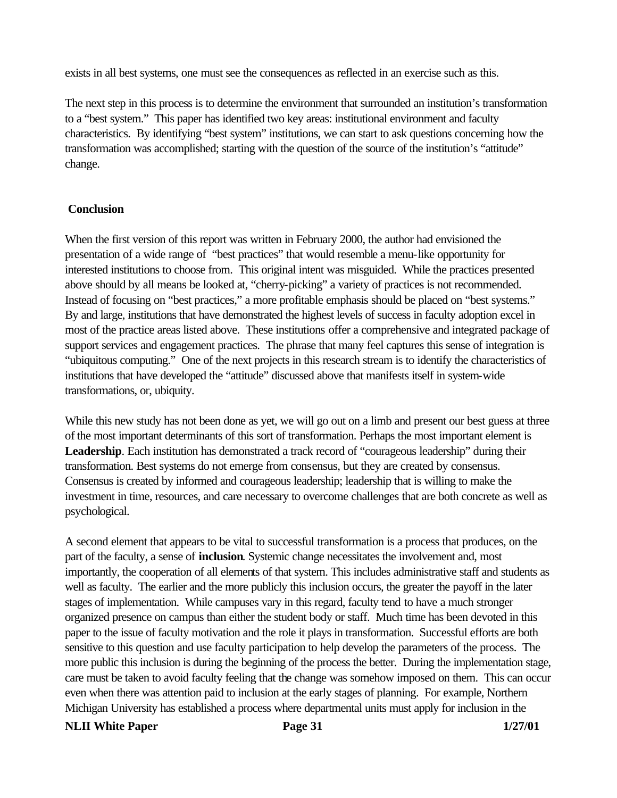exists in all best systems, one must see the consequences as reflected in an exercise such as this.

The next step in this process is to determine the environment that surrounded an institution's transformation to a "best system." This paper has identified two key areas: institutional environment and faculty characteristics. By identifying "best system" institutions, we can start to ask questions concerning how the transformation was accomplished; starting with the question of the source of the institution's "attitude" change.

#### **Conclusion**

When the first version of this report was written in February 2000, the author had envisioned the presentation of a wide range of "best practices" that would resemble a menu-like opportunity for interested institutions to choose from. This original intent was misguided. While the practices presented above should by all means be looked at, "cherry-picking" a variety of practices is not recommended. Instead of focusing on "best practices," a more profitable emphasis should be placed on "best systems." By and large, institutions that have demonstrated the highest levels of success in faculty adoption excel in most of the practice areas listed above. These institutions offer a comprehensive and integrated package of support services and engagement practices. The phrase that many feel captures this sense of integration is "ubiquitous computing." One of the next projects in this research stream is to identify the characteristics of institutions that have developed the "attitude" discussed above that manifests itself in system-wide transformations, or, ubiquity.

While this new study has not been done as yet, we will go out on a limb and present our best guess at three of the most important determinants of this sort of transformation. Perhaps the most important element is **Leadership**. Each institution has demonstrated a track record of "courageous leadership" during their transformation. Best systems do not emerge from consensus, but they are created by consensus. Consensus is created by informed and courageous leadership; leadership that is willing to make the investment in time, resources, and care necessary to overcome challenges that are both concrete as well as psychological.

A second element that appears to be vital to successful transformation is a process that produces, on the part of the faculty, a sense of **inclusion**. Systemic change necessitates the involvement and, most importantly, the cooperation of all elements of that system. This includes administrative staff and students as well as faculty. The earlier and the more publicly this inclusion occurs, the greater the payoff in the later stages of implementation. While campuses vary in this regard, faculty tend to have a much stronger organized presence on campus than either the student body or staff. Much time has been devoted in this paper to the issue of faculty motivation and the role it plays in transformation. Successful efforts are both sensitive to this question and use faculty participation to help develop the parameters of the process. The more public this inclusion is during the beginning of the process the better. During the implementation stage, care must be taken to avoid faculty feeling that the change was somehow imposed on them. This can occur even when there was attention paid to inclusion at the early stages of planning. For example, Northern Michigan University has established a process where departmental units must apply for inclusion in the

#### **NLII White Paper Page 31** 1/27/01